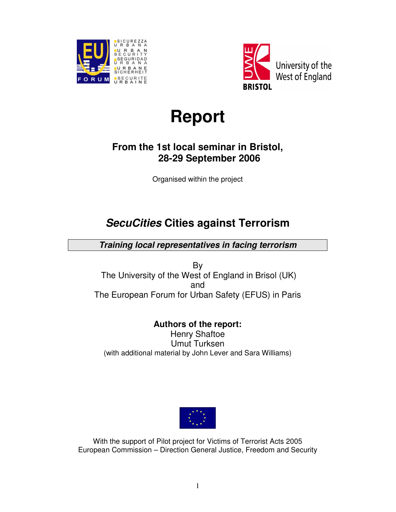



# **Report**

## **From the 1st local seminar in Bristol, 28-29 September 2006**

Organised within the project

## **SecuCities Cities against Terrorism**

**Training local representatives in facing terrorism** 

By The University of the West of England in Brisol (UK) and The European Forum for Urban Safety (EFUS) in Paris

## **Authors of the report:**

Henry Shaftoe Umut Turksen (with additional material by John Lever and Sara Williams)



With the support of Pilot project for Victims of Terrorist Acts 2005 European Commission – Direction General Justice, Freedom and Security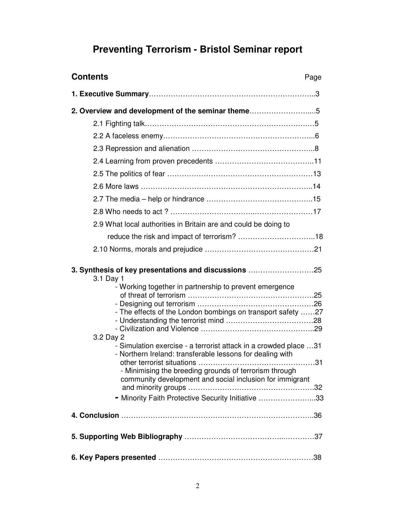## **Preventing Terrorism - Bristol Seminar report**

| <b>Contents</b><br>Page                                                                                                                                                                                                                                                                                                                                                                                                                                                                                                      |
|------------------------------------------------------------------------------------------------------------------------------------------------------------------------------------------------------------------------------------------------------------------------------------------------------------------------------------------------------------------------------------------------------------------------------------------------------------------------------------------------------------------------------|
|                                                                                                                                                                                                                                                                                                                                                                                                                                                                                                                              |
| 2. Overview and development of the seminar theme5                                                                                                                                                                                                                                                                                                                                                                                                                                                                            |
|                                                                                                                                                                                                                                                                                                                                                                                                                                                                                                                              |
|                                                                                                                                                                                                                                                                                                                                                                                                                                                                                                                              |
|                                                                                                                                                                                                                                                                                                                                                                                                                                                                                                                              |
|                                                                                                                                                                                                                                                                                                                                                                                                                                                                                                                              |
|                                                                                                                                                                                                                                                                                                                                                                                                                                                                                                                              |
|                                                                                                                                                                                                                                                                                                                                                                                                                                                                                                                              |
|                                                                                                                                                                                                                                                                                                                                                                                                                                                                                                                              |
|                                                                                                                                                                                                                                                                                                                                                                                                                                                                                                                              |
| 2.9 What local authorities in Britain are and could be doing to                                                                                                                                                                                                                                                                                                                                                                                                                                                              |
|                                                                                                                                                                                                                                                                                                                                                                                                                                                                                                                              |
|                                                                                                                                                                                                                                                                                                                                                                                                                                                                                                                              |
| 3. Synthesis of key presentations and discussions 25<br>3.1 Day 1<br>- Working together in partnership to prevent emergence<br>- The effects of the London bombings on transport safety 27<br>3.2 Day 2<br>- Simulation exercise - a terrorist attack in a crowded place 31<br>- Northern Ireland: transferable lessons for dealing with<br>. 31<br>- Minimising the breeding grounds of terrorism through<br>community development and social inclusion for immigrant<br>- Minority Faith Protective Security Initiative 33 |
|                                                                                                                                                                                                                                                                                                                                                                                                                                                                                                                              |
|                                                                                                                                                                                                                                                                                                                                                                                                                                                                                                                              |
|                                                                                                                                                                                                                                                                                                                                                                                                                                                                                                                              |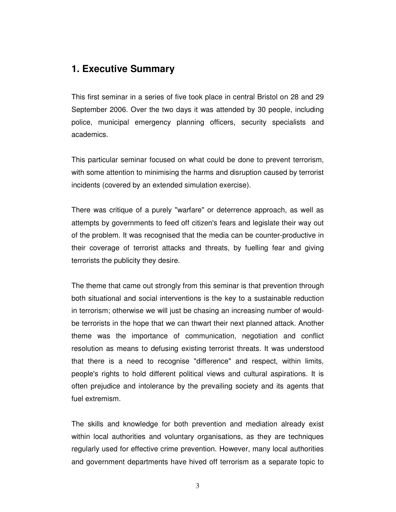## **1. Executive Summary**

This first seminar in a series of five took place in central Bristol on 28 and 29 September 2006. Over the two days it was attended by 30 people, including police, municipal emergency planning officers, security specialists and academics.

This particular seminar focused on what could be done to prevent terrorism, with some attention to minimising the harms and disruption caused by terrorist incidents (covered by an extended simulation exercise).

There was critique of a purely "warfare" or deterrence approach, as well as attempts by governments to feed off citizen's fears and legislate their way out of the problem. It was recognised that the media can be counter-productive in their coverage of terrorist attacks and threats, by fuelling fear and giving terrorists the publicity they desire.

The theme that came out strongly from this seminar is that prevention through both situational and social interventions is the key to a sustainable reduction in terrorism; otherwise we will just be chasing an increasing number of wouldbe terrorists in the hope that we can thwart their next planned attack. Another theme was the importance of communication, negotiation and conflict resolution as means to defusing existing terrorist threats. It was understood that there is a need to recognise "difference" and respect, within limits, people's rights to hold different political views and cultural aspirations. It is often prejudice and intolerance by the prevailing society and its agents that fuel extremism.

The skills and knowledge for both prevention and mediation already exist within local authorities and voluntary organisations, as they are techniques regularly used for effective crime prevention. However, many local authorities and government departments have hived off terrorism as a separate topic to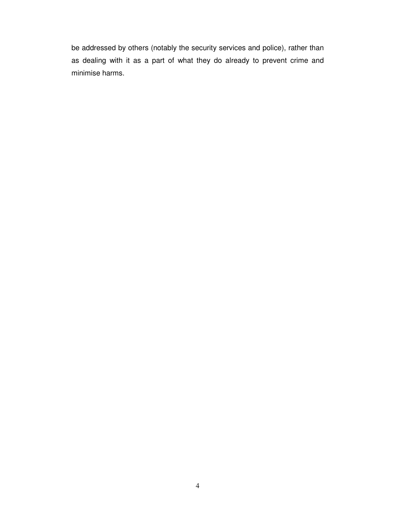be addressed by others (notably the security services and police), rather than as dealing with it as a part of what they do already to prevent crime and minimise harms.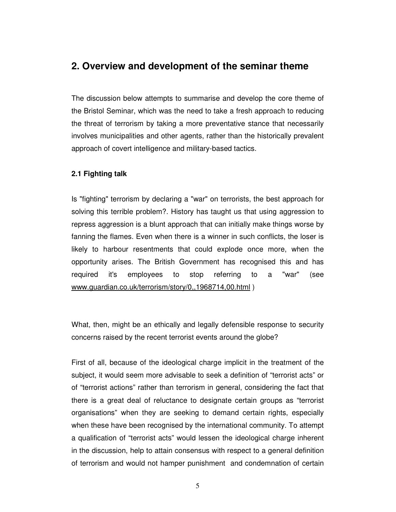### **2. Overview and development of the seminar theme**

The discussion below attempts to summarise and develop the core theme of the Bristol Seminar, which was the need to take a fresh approach to reducing the threat of terrorism by taking a more preventative stance that necessarily involves municipalities and other agents, rather than the historically prevalent approach of covert intelligence and military-based tactics.

#### **2.1 Fighting talk**

Is "fighting" terrorism by declaring a "war" on terrorists, the best approach for solving this terrible problem?. History has taught us that using aggression to repress aggression is a blunt approach that can initially make things worse by fanning the flames. Even when there is a winner in such conflicts, the loser is likely to harbour resentments that could explode once more, when the opportunity arises. The British Government has recognised this and has required it's employees to stop referring to a "war" (see www.guardian.co.uk/terrorism/story/0,,1968714,00.html )

What, then, might be an ethically and legally defensible response to security concerns raised by the recent terrorist events around the globe?

First of all, because of the ideological charge implicit in the treatment of the subject, it would seem more advisable to seek a definition of "terrorist acts" or of "terrorist actions" rather than terrorism in general, considering the fact that there is a great deal of reluctance to designate certain groups as "terrorist organisations" when they are seeking to demand certain rights, especially when these have been recognised by the international community. To attempt a qualification of "terrorist acts" would lessen the ideological charge inherent in the discussion, help to attain consensus with respect to a general definition of terrorism and would not hamper punishment and condemnation of certain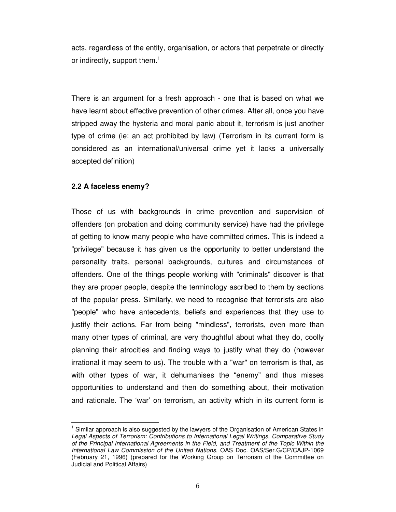acts, regardless of the entity, organisation, or actors that perpetrate or directly or indirectly, support them. $<sup>1</sup>$ </sup>

There is an argument for a fresh approach - one that is based on what we have learnt about effective prevention of other crimes. After all, once you have stripped away the hysteria and moral panic about it, terrorism is just another type of crime (ie: an act prohibited by law) (Terrorism in its current form is considered as an international/universal crime yet it lacks a universally accepted definition)

#### **2.2 A faceless enemy?**

 $\overline{a}$ 

Those of us with backgrounds in crime prevention and supervision of offenders (on probation and doing community service) have had the privilege of getting to know many people who have committed crimes. This is indeed a "privilege" because it has given us the opportunity to better understand the personality traits, personal backgrounds, cultures and circumstances of offenders. One of the things people working with "criminals" discover is that they are proper people, despite the terminology ascribed to them by sections of the popular press. Similarly, we need to recognise that terrorists are also "people" who have antecedents, beliefs and experiences that they use to justify their actions. Far from being "mindless", terrorists, even more than many other types of criminal, are very thoughtful about what they do, coolly planning their atrocities and finding ways to justify what they do (however irrational it may seem to us). The trouble with a "war" on terrorism is that, as with other types of war, it dehumanises the "enemy" and thus misses opportunities to understand and then do something about, their motivation and rationale. The 'war' on terrorism, an activity which in its current form is

<sup>&</sup>lt;sup>1</sup> Similar approach is also suggested by the lawyers of the Organisation of American States in Legal Aspects of Terrorism: Contributions to International Legal Writings, Comparative Study of the Principal International Agreements in the Field, and Treatment of the Topic Within the International Law Commission of the United Nations, OAS Doc. OAS/Ser.G/CP/CAJP-1069 (February 21, 1996) (prepared for the Working Group on Terrorism of the Committee on Judicial and Political Affairs)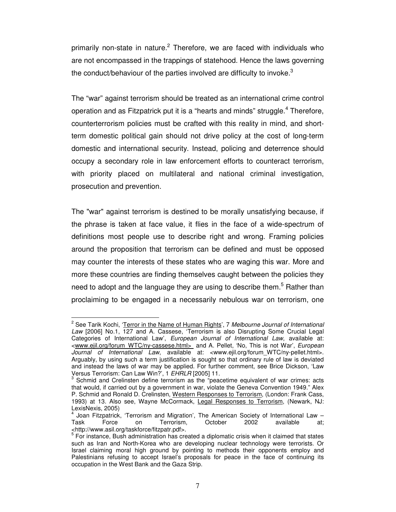primarily non-state in nature.<sup>2</sup> Therefore, we are faced with individuals who are not encompassed in the trappings of statehood. Hence the laws governing the conduct/behaviour of the parties involved are difficulty to invoke. $3$ 

The "war" against terrorism should be treated as an international crime control operation and as Fitzpatrick put it is a "hearts and minds" struggle.<sup>4</sup> Therefore, counterterrorism policies must be crafted with this reality in mind, and shortterm domestic political gain should not drive policy at the cost of long-term domestic and international security. Instead, policing and deterrence should occupy a secondary role in law enforcement efforts to counteract terrorism, with priority placed on multilateral and national criminal investigation, prosecution and prevention.

The "war" against terrorism is destined to be morally unsatisfying because, if the phrase is taken at face value, it flies in the face of a wide-spectrum of definitions most people use to describe right and wrong. Framing policies around the proposition that terrorism can be defined and must be opposed may counter the interests of these states who are waging this war. More and more these countries are finding themselves caught between the policies they need to adopt and the language they are using to describe them.<sup>5</sup> Rather than proclaiming to be engaged in a necessarily nebulous war on terrorism, one

<sup>&</sup>lt;sup>2</sup> See Tarik Kochi, '<u>Terror in the Name of Human Rights</u>', 7 Melbourne Journal of International Law [2006] No.1, 127 and A. Cassese, 'Terrorism is also Disrupting Some Crucial Legal Categories of International Law', European Journal of International Law, available at: <www.ejil.org/forum\_WTC/ny-cassese.html>\_ and A. Pellet, 'No, This is not War', European Journal of International Law, available at: <www.ejil.org/forum WTC/ny-pellet.html>. Arguably, by using such a term justification is sought so that ordinary rule of law is deviated and instead the laws of war may be applied. For further comment, see Brice Dickson, 'Law Versus Terrorism: Can Law Win?', 1 EHRLR [2005] 11.

<sup>&</sup>lt;sup>3</sup> Schmid and Crelinsten define terrorism as the "peacetime equivalent of war crimes: acts that would, if carried out by a government in war, violate the Geneva Convention 1949." Alex P. Schmid and Ronald D. Crelinsten, Western Responses to Terrorism, (London: Frank Cass, 1993) at 13. Also see, Wayne McCormack, Legal Responses to Terrorism, (Newark, NJ: LexisNexis, 2005)<br><sup>4</sup> Joan Eitzpetriek

Joan Fitzpatrick, 'Terrorism and Migration', The American Society of International Law – Task Force on Terrorism, October 2002 available at;

<sup>&</sup>lt;http://www.asil.org/taskforce/fitzpatr.pdf>.<br><sup>5</sup> For instance, Bush administration has created a diplomatic crisis when it claimed that states such as Iran and North-Korea who are developing nuclear technology were terrorists. Or Israel claiming moral high ground by pointing to methods their opponents employ and Palestinians refusing to accept Israel's proposals for peace in the face of continuing its occupation in the West Bank and the Gaza Strip.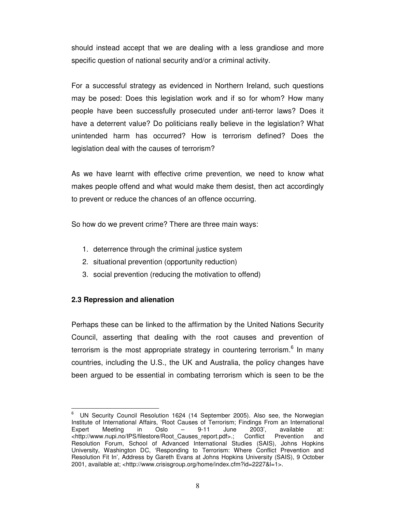should instead accept that we are dealing with a less grandiose and more specific question of national security and/or a criminal activity.

For a successful strategy as evidenced in Northern Ireland, such questions may be posed: Does this legislation work and if so for whom? How many people have been successfully prosecuted under anti-terror laws? Does it have a deterrent value? Do politicians really believe in the legislation? What unintended harm has occurred? How is terrorism defined? Does the legislation deal with the causes of terrorism?

As we have learnt with effective crime prevention, we need to know what makes people offend and what would make them desist, then act accordingly to prevent or reduce the chances of an offence occurring.

So how do we prevent crime? There are three main ways:

- 1. deterrence through the criminal justice system
- 2. situational prevention (opportunity reduction)
- 3. social prevention (reducing the motivation to offend)

#### **2.3 Repression and alienation**

 $\overline{a}$ 

Perhaps these can be linked to the affirmation by the United Nations Security Council, asserting that dealing with the root causes and prevention of terrorism is the most appropriate strategy in countering terrorism.<sup>6</sup> In many countries, including the U.S., the UK and Australia, the policy changes have been argued to be essential in combating terrorism which is seen to be the

<sup>6</sup> UN Security Council Resolution 1624 (14 September 2005). Also see, the Norwegian Institute of International Affairs, 'Root Causes of Terrorism; Findings From an International Expert Meeting in Oslo – 9-11 June 2003', available at: <http://www.nupi.no/IPS/filestore/Root\_Causes\_report.pdf>.; Conflict Prevention and Resolution Forum, School of Advanced International Studies (SAIS), Johns Hopkins University, Washington DC, 'Responding to Terrorism: Where Conflict Prevention and Resolution Fit In', Address by Gareth Evans at Johns Hopkins University (SAIS), 9 October 2001, available at; <http://www.crisisgroup.org/home/index.cfm?id=2227&l=1>.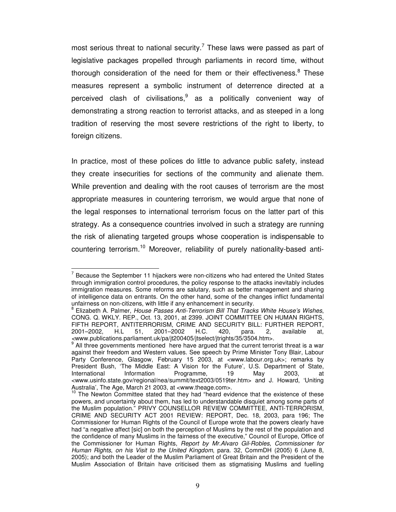most serious threat to national security.<sup>7</sup> These laws were passed as part of legislative packages propelled through parliaments in record time, without thorough consideration of the need for them or their effectiveness.<sup>8</sup> These measures represent a symbolic instrument of deterrence directed at a perceived clash of civilisations,<sup>9</sup> as a politically convenient way of demonstrating a strong reaction to terrorist attacks, and as steeped in a long tradition of reserving the most severe restrictions of the right to liberty, to foreign citizens.

In practice, most of these polices do little to advance public safety, instead they create insecurities for sections of the community and alienate them. While prevention and dealing with the root causes of terrorism are the most appropriate measures in countering terrorism, we would argue that none of the legal responses to international terrorism focus on the latter part of this strategy. As a consequence countries involved in such a strategy are running the risk of alienating targeted groups whose cooperation is indispensable to countering terrorism.<sup>10</sup> Moreover, reliability of purely nationality-based anti-

 $7$  Because the September 11 hijackers were non-citizens who had entered the United States through immigration control procedures, the policy response to the attacks inevitably includes immigration measures. Some reforms are salutary, such as better management and sharing of intelligence data on entrants. On the other hand, some of the changes inflict fundamental unfairness on non-citizens, with little if any enhancement in security.

<sup>8</sup> Elizabeth A. Palmer, House Passes Anti-Terrorism Bill That Tracks White House's Wishes, CONG. Q. WKLY. REP., Oct. 13, 2001, at 2399. JOINT COMMITTEE ON HUMAN RIGHTS, FIFTH REPORT, ANTITERRORISM, CRIME AND SECURITY BILL: FURTHER REPORT,<br>2001–2002, H.L. 51, 2001–2002 H.C. 420, para. 2, available at, 2001–2002, H.L 51, 2001–2002 H.C. 420, para. 2, available at, <www.publications.parliament.uk/pa/jt200405/jtselect/jtrights/35/3504.htm>. 9

All three governments mentioned here have argued that the current terrorist threat is a war against their freedom and Western values. See speech by Prime Minister Tony Blair, Labour Party Conference, Glasgow, February 15 2003, at <www.labour.org.uk>; remarks by President Bush, 'The Middle East: A Vision for the Future', U.S. Department of State, International Information Programme, 19 May 2003, at <www.usinfo.state.gov/regional/nea/summit/text2003/0519ter.htm> and J. Howard, 'Uniting Australia', The Age, March 21 2003, at <www.theage.com>.

 $10$  The Newton Committee stated that they had "heard evidence that the existence of these powers, and uncertainty about them, has led to understandable disquiet among some parts of the Muslim population." PRIVY COUNSELLOR REVIEW COMMITTEE, ANTI-TERRORISM, CRIME AND SECURITY ACT 2001 REVIEW: REPORT, Dec. 18, 2003, para 196; The Commissioner for Human Rights of the Council of Europe wrote that the powers clearly have had "a negative affect [sic] on both the perception of Muslims by the rest of the population and the confidence of many Muslims in the fairness of the executive," Council of Europe, Office of the Commissioner for Human Rights, Report by Mr.Alvaro Gil-Robles, Commissioner for Human Rights, on his Visit to the United Kingdom, para. 32, CommDH (2005) 6 (June 8, 2005); and both the Leader of the Muslim Parliament of Great Britain and the President of the Muslim Association of Britain have criticised them as stigmatising Muslims and fuelling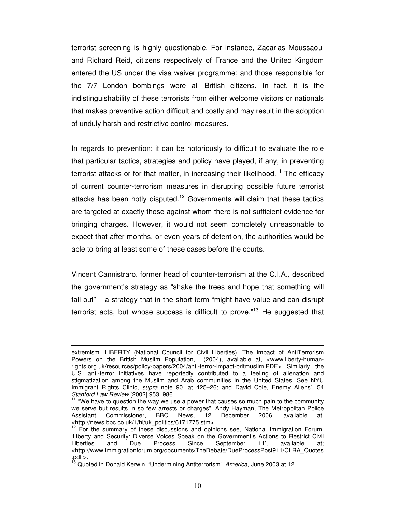terrorist screening is highly questionable. For instance, Zacarias Moussaoui and Richard Reid, citizens respectively of France and the United Kingdom entered the US under the visa waiver programme; and those responsible for the 7/7 London bombings were all British citizens. In fact, it is the indistinguishability of these terrorists from either welcome visitors or nationals that makes preventive action difficult and costly and may result in the adoption of unduly harsh and restrictive control measures.

In regards to prevention; it can be notoriously to difficult to evaluate the role that particular tactics, strategies and policy have played, if any, in preventing terrorist attacks or for that matter, in increasing their likelihood.<sup>11</sup> The efficacy of current counter-terrorism measures in disrupting possible future terrorist attacks has been hotly disputed.<sup>12</sup> Governments will claim that these tactics are targeted at exactly those against whom there is not sufficient evidence for bringing charges. However, it would not seem completely unreasonable to expect that after months, or even years of detention, the authorities would be able to bring at least some of these cases before the courts.

Vincent Cannistraro, former head of counter-terrorism at the C.I.A., described the government's strategy as "shake the trees and hope that something will fall out" – a strategy that in the short term "might have value and can disrupt terrorist acts, but whose success is difficult to prove."<sup>13</sup> He suggested that

extremism. LIBERTY (National Council for Civil Liberties), The Impact of AntiTerrorism Powers on the British Muslim Population, (2004), available at, <www.liberty-humanrights.org.uk/resources/policy-papers/2004/anti-terror-impact-britmuslim.PDF>. Similarly, the U.S. anti-terror initiatives have reportedly contributed to a feeling of alienation and stigmatization among the Muslim and Arab communities in the United States. See NYU Immigrant Rights Clinic, supra note 90, at 425–26; and David Cole, Enemy Aliens', 54 Stanford Law Review [2002] 953, 986.

 $11$  "We have to question the way we use a power that causes so much pain to the community we serve but results in so few arrests or charges", Andy Hayman, The Metropolitan Police<br>Assistant Commissioner, BBC News, 12 December 2006, available at, Assistant Commissioner, BBC News, 12 December 2006, available at, <http://news.bbc.co.uk/1/hi/uk\_politics/6171775.stm>.

 $12$  For the summary of these discussions and opinions see, National Immigration Forum, 'Liberty and Security: Diverse Voices Speak on the Government's Actions to Restrict Civil Liberties and Due Process Since September 11', available at; <http://www.immigrationforum.org/documents/TheDebate/DueProcessPost911/CLRA\_Quotes  $.$  pdf  $>$ .

 $^3$  Quoted in Donald Kerwin, 'Undermining Antiterrorism', America, June 2003 at 12.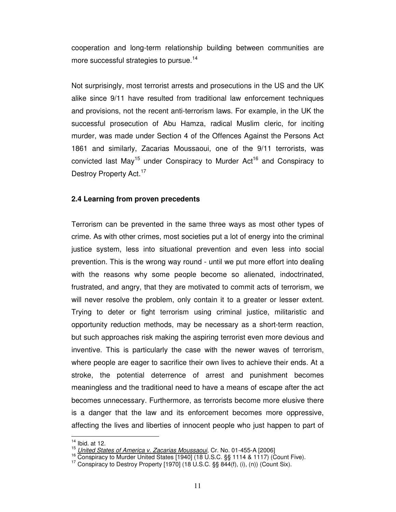cooperation and long-term relationship building between communities are more successful strategies to pursue.<sup>14</sup>

Not surprisingly, most terrorist arrests and prosecutions in the US and the UK alike since 9/11 have resulted from traditional law enforcement techniques and provisions, not the recent anti-terrorism laws. For example, in the UK the successful prosecution of Abu Hamza, radical Muslim cleric, for inciting murder, was made under Section 4 of the Offences Against the Persons Act 1861 and similarly, Zacarias Moussaoui, one of the 9/11 terrorists, was convicted last May<sup>15</sup> under Conspiracy to Murder Act<sup>16</sup> and Conspiracy to Destroy Property Act.<sup>17</sup>

#### **2.4 Learning from proven precedents**

Terrorism can be prevented in the same three ways as most other types of crime. As with other crimes, most societies put a lot of energy into the criminal justice system, less into situational prevention and even less into social prevention. This is the wrong way round - until we put more effort into dealing with the reasons why some people become so alienated, indoctrinated, frustrated, and angry, that they are motivated to commit acts of terrorism, we will never resolve the problem, only contain it to a greater or lesser extent. Trying to deter or fight terrorism using criminal justice, militaristic and opportunity reduction methods, may be necessary as a short-term reaction, but such approaches risk making the aspiring terrorist even more devious and inventive. This is particularly the case with the newer waves of terrorism, where people are eager to sacrifice their own lives to achieve their ends. At a stroke, the potential deterrence of arrest and punishment becomes meaningless and the traditional need to have a means of escape after the act becomes unnecessary. Furthermore, as terrorists become more elusive there is a danger that the law and its enforcement becomes more oppressive, affecting the lives and liberties of innocent people who just happen to part of

 $14$  Ibid. at 12.

<sup>&</sup>lt;sup>15</sup> United States of America v. Zacarias Moussaoui, Cr. No. 01-455-A [2006]

<sup>&</sup>lt;sup>16</sup> Conspiracy to Murder United States [1940] (18 U.S.C. §§ 1114 & 1117) (Count Five).

<sup>&</sup>lt;sup>17</sup> Conspiracy to Destroy Property [1970] (18 U.S.C. §§ 844(f), (i), (n)) (Count Six).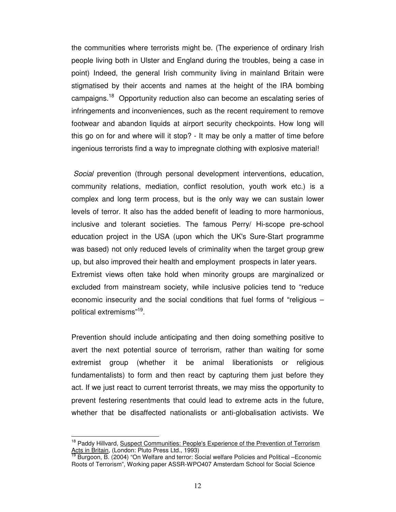the communities where terrorists might be. (The experience of ordinary Irish people living both in Ulster and England during the troubles, being a case in point) Indeed, the general Irish community living in mainland Britain were stigmatised by their accents and names at the height of the IRA bombing campaigns.<sup>18</sup> Opportunity reduction also can become an escalating series of infringements and inconveniences, such as the recent requirement to remove footwear and abandon liquids at airport security checkpoints. How long will this go on for and where will it stop? - It may be only a matter of time before ingenious terrorists find a way to impregnate clothing with explosive material!

Social prevention (through personal development interventions, education, community relations, mediation, conflict resolution, youth work etc.) is a complex and long term process, but is the only way we can sustain lower levels of terror. It also has the added benefit of leading to more harmonious, inclusive and tolerant societies. The famous Perry/ Hi-scope pre-school education project in the USA (upon which the UK's Sure-Start programme was based) not only reduced levels of criminality when the target group grew up, but also improved their health and employment prospects in later years. Extremist views often take hold when minority groups are marginalized or excluded from mainstream society, while inclusive policies tend to "reduce economic insecurity and the social conditions that fuel forms of "religious – political extremisms"<sup>19</sup>.

Prevention should include anticipating and then doing something positive to avert the next potential source of terrorism, rather than waiting for some extremist group (whether it be animal liberationists or religious fundamentalists) to form and then react by capturing them just before they act. If we just react to current terrorist threats, we may miss the opportunity to prevent festering resentments that could lead to extreme acts in the future, whether that be disaffected nationalists or anti-globalisation activists. We

<sup>&</sup>lt;sup>18</sup> Paddy Hillvard, Suspect Communities: People's Experience of the Prevention of Terrorism Acts in Britain, (London: Pluto Press Ltd., 1993)

<sup>19</sup> Burgoon, B. (2004) "On Welfare and terror: Social welfare Policies and Political –Economic Roots of Terrorism", Working paper ASSR-WPO407 Amsterdam School for Social Science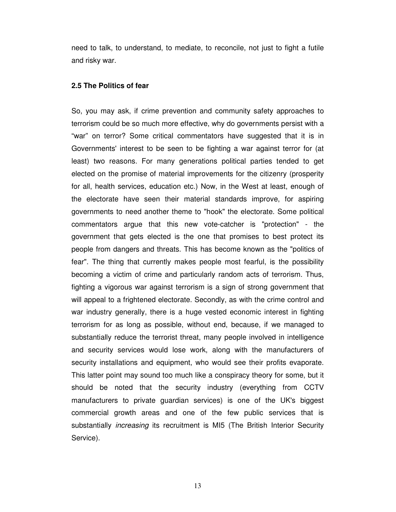need to talk, to understand, to mediate, to reconcile, not just to fight a futile and risky war.

#### **2.5 The Politics of fear**

So, you may ask, if crime prevention and community safety approaches to terrorism could be so much more effective, why do governments persist with a "war" on terror? Some critical commentators have suggested that it is in Governments' interest to be seen to be fighting a war against terror for (at least) two reasons. For many generations political parties tended to get elected on the promise of material improvements for the citizenry (prosperity for all, health services, education etc.) Now, in the West at least, enough of the electorate have seen their material standards improve, for aspiring governments to need another theme to "hook" the electorate. Some political commentators argue that this new vote-catcher is "protection" - the government that gets elected is the one that promises to best protect its people from dangers and threats. This has become known as the "politics of fear". The thing that currently makes people most fearful, is the possibility becoming a victim of crime and particularly random acts of terrorism. Thus, fighting a vigorous war against terrorism is a sign of strong government that will appeal to a frightened electorate. Secondly, as with the crime control and war industry generally, there is a huge vested economic interest in fighting terrorism for as long as possible, without end, because, if we managed to substantially reduce the terrorist threat, many people involved in intelligence and security services would lose work, along with the manufacturers of security installations and equipment, who would see their profits evaporate. This latter point may sound too much like a conspiracy theory for some, but it should be noted that the security industry (everything from CCTV manufacturers to private guardian services) is one of the UK's biggest commercial growth areas and one of the few public services that is substantially *increasing* its recruitment is MI5 (The British Interior Security Service).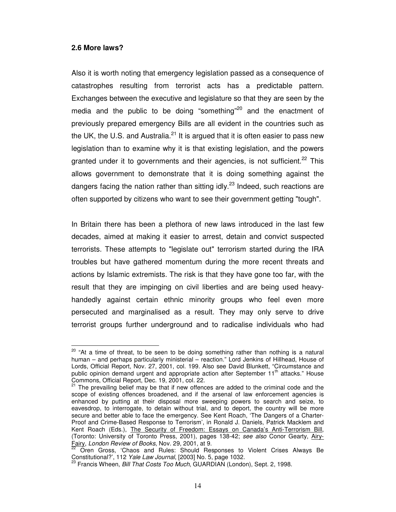#### **2.6 More laws?**

 $\overline{a}$ 

Also it is worth noting that emergency legislation passed as a consequence of catastrophes resulting from terrorist acts has a predictable pattern. Exchanges between the executive and legislature so that they are seen by the media and the public to be doing "something"<sup>20</sup> and the enactment of previously prepared emergency Bills are all evident in the countries such as the UK, the U.S. and Australia. $^{21}$  It is argued that it is often easier to pass new legislation than to examine why it is that existing legislation, and the powers granted under it to governments and their agencies, is not sufficient.<sup>22</sup> This allows government to demonstrate that it is doing something against the dangers facing the nation rather than sitting  $\frac{1}{2}$  and  $\frac{1}{2}$  Indeed, such reactions are often supported by citizens who want to see their government getting "tough".

In Britain there has been a plethora of new laws introduced in the last few decades, aimed at making it easier to arrest, detain and convict suspected terrorists. These attempts to "legislate out" terrorism started during the IRA troubles but have gathered momentum during the more recent threats and actions by Islamic extremists. The risk is that they have gone too far, with the result that they are impinging on civil liberties and are being used heavyhandedly against certain ethnic minority groups who feel even more persecuted and marginalised as a result. They may only serve to drive terrorist groups further underground and to radicalise individuals who had

<sup>&</sup>lt;sup>20</sup> "At a time of threat, to be seen to be doing something rather than nothing is a natural human – and perhaps particularly ministerial – reaction." Lord Jenkins of Hillhead, House of Lords, Official Report, Nov. 27, 2001, col. 199. Also see David Blunkett, "Circumstance and public opinion demand urgent and appropriate action after September 11<sup>th</sup> attacks." House Commons, Official Report, Dec. 19, 2001, col. 22.

<sup>&</sup>lt;sup>21</sup> The prevailing belief may be that if new offences are added to the criminal code and the scope of existing offences broadened, and if the arsenal of law enforcement agencies is enhanced by putting at their disposal more sweeping powers to search and seize, to eavesdrop, to interrogate, to detain without trial, and to deport, the country will be more secure and better able to face the emergency. See Kent Roach, 'The Dangers of a Charter-Proof and Crime-Based Response to Terrorism', in Ronald J. Daniels, Patrick Macklem and Kent Roach (Eds.), The Security of Freedom: Essays on Canada's Anti-Terrorism Bill, (Toronto: University of Toronto Press, 2001), pages 138-42; see also Conor Gearty, Airy-Fairy, London Review of Books, Nov. 29, 2001, at 9.

<sup>22</sup> Oren Gross, 'Chaos and Rules: Should Responses to Violent Crises Always Be Constitutional?', 112 Yale Law Journal, [2003] No. 5, page 1032.

<sup>&</sup>lt;sup>23</sup> Francis Wheen, Bill That Costs Too Much, GUARDIAN (London), Sept. 2, 1998.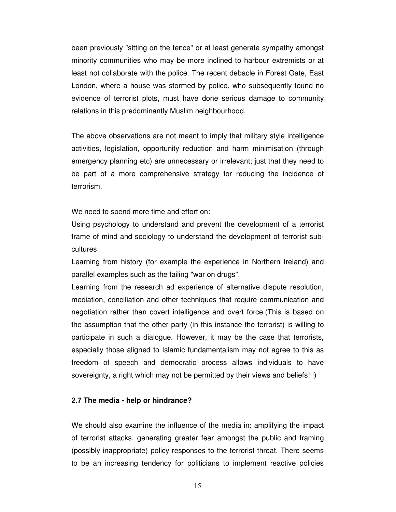been previously "sitting on the fence" or at least generate sympathy amongst minority communities who may be more inclined to harbour extremists or at least not collaborate with the police. The recent debacle in Forest Gate, East London, where a house was stormed by police, who subsequently found no evidence of terrorist plots, must have done serious damage to community relations in this predominantly Muslim neighbourhood.

The above observations are not meant to imply that military style intelligence activities, legislation, opportunity reduction and harm minimisation (through emergency planning etc) are unnecessary or irrelevant; just that they need to be part of a more comprehensive strategy for reducing the incidence of terrorism.

We need to spend more time and effort on:

Using psychology to understand and prevent the development of a terrorist frame of mind and sociology to understand the development of terrorist subcultures

Learning from history (for example the experience in Northern Ireland) and parallel examples such as the failing "war on drugs".

Learning from the research ad experience of alternative dispute resolution, mediation, conciliation and other techniques that require communication and negotiation rather than covert intelligence and overt force.(This is based on the assumption that the other party (in this instance the terrorist) is willing to participate in such a dialogue. However, it may be the case that terrorists, especially those aligned to Islamic fundamentalism may not agree to this as freedom of speech and democratic process allows individuals to have sovereignty, a right which may not be permitted by their views and beliefs!!!)

#### **2.7 The media - help or hindrance?**

We should also examine the influence of the media in: amplifying the impact of terrorist attacks, generating greater fear amongst the public and framing (possibly inappropriate) policy responses to the terrorist threat. There seems to be an increasing tendency for politicians to implement reactive policies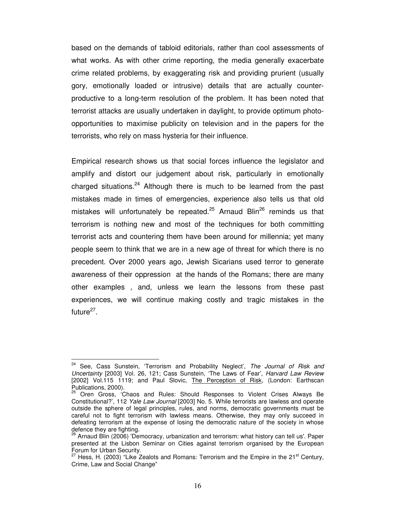based on the demands of tabloid editorials, rather than cool assessments of what works. As with other crime reporting, the media generally exacerbate crime related problems, by exaggerating risk and providing prurient (usually gory, emotionally loaded or intrusive) details that are actually counterproductive to a long-term resolution of the problem. It has been noted that terrorist attacks are usually undertaken in daylight, to provide optimum photoopportunities to maximise publicity on television and in the papers for the terrorists, who rely on mass hysteria for their influence.

Empirical research shows us that social forces influence the legislator and amplify and distort our judgement about risk, particularly in emotionally charged situations.<sup>24</sup> Although there is much to be learned from the past mistakes made in times of emergencies, experience also tells us that old mistakes will unfortunately be repeated.<sup>25</sup> Arnaud Blin<sup>26</sup> reminds us that terrorism is nothing new and most of the techniques for both committing terrorist acts and countering them have been around for millennia; yet many people seem to think that we are in a new age of threat for which there is no precedent. Over 2000 years ago, Jewish Sicarians used terror to generate awareness of their oppression at the hands of the Romans; there are many other examples , and, unless we learn the lessons from these past experiences, we will continue making costly and tragic mistakes in the future<sup>27</sup>.

<sup>&</sup>lt;sup>24</sup> See, Cass Sunstein, 'Terrorism and Probability Neglect', The Journal of Risk and Uncertainty [2003] Vol. 26, 121; Cass Sunstein, 'The Laws of Fear', Harvard Law Review [2002] Vol.115 1119; and Paul Slovic, The Perception of Risk, (London: Earthscan Publications, 2000).

<sup>&</sup>lt;sup>25</sup> Oren Gross, 'Chaos and Rules: Should Responses to Violent Crises Always Be Constitutional?', 112 Yale Law Journal [2003] No. 5. While terrorists are lawless and operate outside the sphere of legal principles, rules, and norms, democratic governments must be careful not to fight terrorism with lawless means. Otherwise, they may only succeed in defeating terrorism at the expense of losing the democratic nature of the society in whose defence they are fighting.

 $\beta$  Arnaud Blin (2006) 'Democracy, urbanization and terrorism: what history can tell us'. Paper presented at the Lisbon Seminar on Cities against terrorism organised by the European Forum for Urban Security.

<sup>&</sup>lt;sup>27</sup> Hess, H. (2003) "Like Zealots and Romans: Terrorism and the Empire in the 21<sup>st</sup> Century, Crime, Law and Social Change"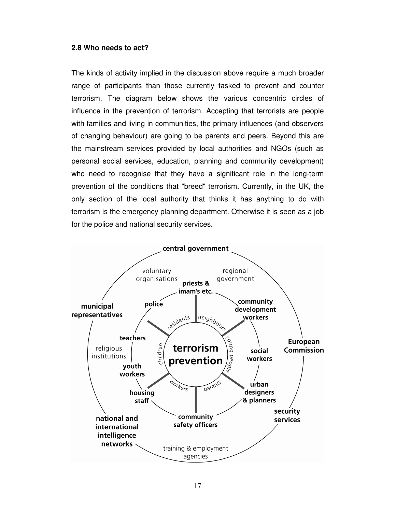#### **2.8 Who needs to act?**

The kinds of activity implied in the discussion above require a much broader range of participants than those currently tasked to prevent and counter terrorism. The diagram below shows the various concentric circles of influence in the prevention of terrorism. Accepting that terrorists are people with families and living in communities, the primary influences (and observers of changing behaviour) are going to be parents and peers. Beyond this are the mainstream services provided by local authorities and NGOs (such as personal social services, education, planning and community development) who need to recognise that they have a significant role in the long-term prevention of the conditions that "breed" terrorism. Currently, in the UK, the only section of the local authority that thinks it has anything to do with terrorism is the emergency planning department. Otherwise it is seen as a job for the police and national security services.

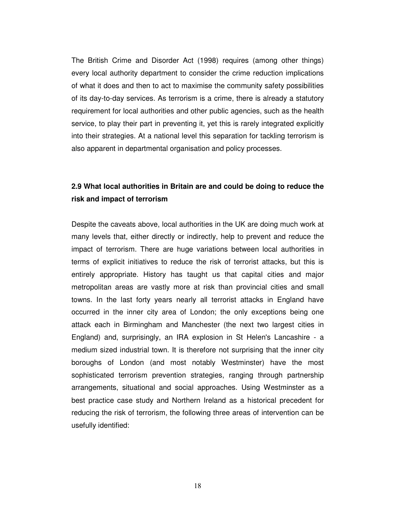The British Crime and Disorder Act (1998) requires (among other things) every local authority department to consider the crime reduction implications of what it does and then to act to maximise the community safety possibilities of its day-to-day services. As terrorism is a crime, there is already a statutory requirement for local authorities and other public agencies, such as the health service, to play their part in preventing it, yet this is rarely integrated explicitly into their strategies. At a national level this separation for tackling terrorism is also apparent in departmental organisation and policy processes.

### **2.9 What local authorities in Britain are and could be doing to reduce the risk and impact of terrorism**

Despite the caveats above, local authorities in the UK are doing much work at many levels that, either directly or indirectly, help to prevent and reduce the impact of terrorism. There are huge variations between local authorities in terms of explicit initiatives to reduce the risk of terrorist attacks, but this is entirely appropriate. History has taught us that capital cities and major metropolitan areas are vastly more at risk than provincial cities and small towns. In the last forty years nearly all terrorist attacks in England have occurred in the inner city area of London; the only exceptions being one attack each in Birmingham and Manchester (the next two largest cities in England) and, surprisingly, an IRA explosion in St Helen's Lancashire - a medium sized industrial town. It is therefore not surprising that the inner city boroughs of London (and most notably Westminster) have the most sophisticated terrorism prevention strategies, ranging through partnership arrangements, situational and social approaches. Using Westminster as a best practice case study and Northern Ireland as a historical precedent for reducing the risk of terrorism, the following three areas of intervention can be usefully identified: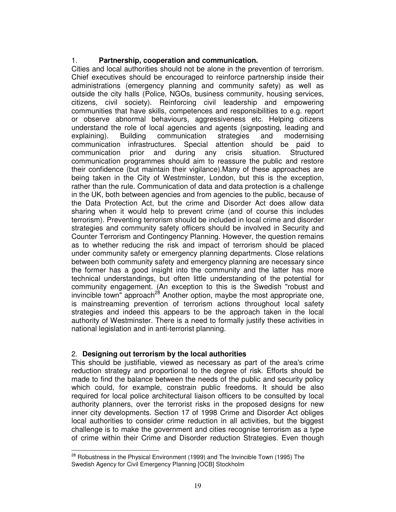#### 1. **Partnership, cooperation and communication.**

Cities and local authorities should not be alone in the prevention of terrorism. Chief executives should be encouraged to reinforce partnership inside their administrations (emergency planning and community safety) as well as outside the city halls (Police, NGOs, business community, housing services, citizens, civil society). Reinforcing civil leadership and empowering communities that have skills, competences and responsibilities to e.g. report or observe abnormal behaviours, aggressiveness etc. Helping citizens understand the role of local agencies and agents (signposting, leading and explaining). Building communication strategies and modernising communication infrastructures. Special attention should be paid to communication prior and during any crisis situation. Structured communication programmes should aim to reassure the public and restore their confidence (but maintain their vigilance).Many of these approaches are being taken in the City of Westminster, London, but this is the exception, rather than the rule. Communication of data and data protection is a challenge in the UK, both between agencies and from agencies to the public, because of the Data Protection Act, but the crime and Disorder Act does allow data sharing when it would help to prevent crime (and of course this includes terrorism). Preventing terrorism should be included in local crime and disorder strategies and community safety officers should be involved in Security and Counter Terrorism and Contingency Planning. However, the question remains as to whether reducing the risk and impact of terrorism should be placed under community safety or emergency planning departments. Close relations between both community safety and emergency planning are necessary since the former has a good insight into the community and the latter has more technical understandings, but often little understanding of the potential for community engagement. (An exception to this is the Swedish "robust and invincible town" approach<sup>28</sup> Another option, maybe the most appropriate one, is mainstreaming prevention of terrorism actions throughout local safety strategies and indeed this appears to be the approach taken in the local authority of Westminster. There is a need to formally justify these activities in national legislation and in anti-terrorist planning.

#### 2. **Designing out terrorism by the local authorities**

 $\overline{a}$ 

This should be justifiable, viewed as necessary as part of the area's crime reduction strategy and proportional to the degree of risk. Efforts should be made to find the balance between the needs of the public and security policy which could, for example, constrain public freedoms. It should be also required for local police architectural liaison officers to be consulted by local authority planners, over the terrorist risks in the proposed designs for new inner city developments. Section 17 of 1998 Crime and Disorder Act obliges local authorities to consider crime reduction in all activities, but the biggest challenge is to make the government and cities recognise terrorism as a type of crime within their Crime and Disorder reduction Strategies. Even though

 $28$  Robustness in the Physical Environment (1999) and The Invincible Town (1995) The Swedish Agency for Civil Emergency Planning [OCB] Stockholm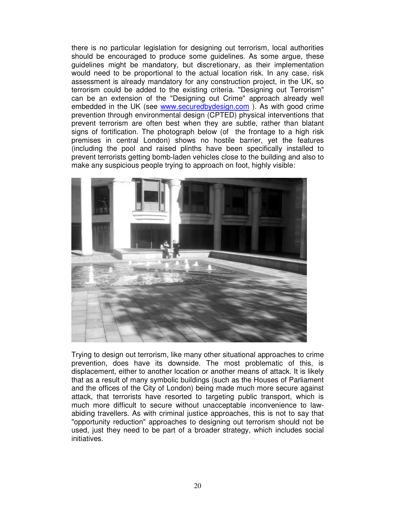there is no particular legislation for designing out terrorism, local authorities should be encouraged to produce some guidelines. As some argue, these guidelines might be mandatory, but discretionary, as their implementation would need to be proportional to the actual location risk. In any case, risk assessment is already mandatory for any construction project, in the UK, so terrorism could be added to the existing criteria. "Designing out Terrorism" can be an extension of the "Designing out Crime" approach already well embedded in the UK (see www.securedbydesign.com ). As with good crime prevention through environmental design (CPTED) physical interventions that prevent terrorism are often best when they are subtle, rather than blatant signs of fortification. The photograph below (of the frontage to a high risk premises in central London) shows no hostile barrier, yet the features (including the pool and raised plinths have been specifically installed to prevent terrorists getting bomb-laden vehicles close to the building and also to make any suspicious people trying to approach on foot, highly visible:



Trying to design out terrorism, like many other situational approaches to crime prevention, does have its downside. The most problematic of this, is displacement, either to another location or another means of attack. It is likely that as a result of many symbolic buildings (such as the Houses of Parliament and the offices of the City of London) being made much more secure against attack, that terrorists have resorted to targeting public transport, which is much more difficult to secure without unacceptable inconvenience to lawabiding travellers. As with criminal justice approaches, this is not to say that "opportunity reduction" approaches to designing out terrorism should not be used, just they need to be part of a broader strategy, which includes social initiatives.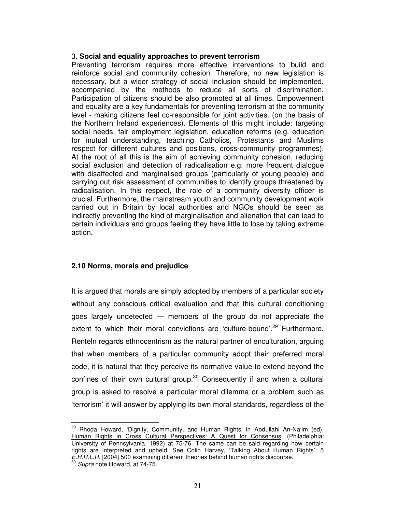#### 3. **Social and equality approaches to prevent terrorism**

Preventing terrorism requires more effective interventions to build and reinforce social and community cohesion. Therefore, no new legislation is necessary, but a wider strategy of social inclusion should be implemented, accompanied by the methods to reduce all sorts of discrimination. Participation of citizens should be also promoted at all times. Empowerment and equality are a key fundamentals for preventing terrorism at the community level - making citizens feel co-responsible for joint activities. (on the basis of the Northern Ireland experiences). Elements of this might include: targeting social needs, fair employment legislation, education reforms (e.g. education for mutual understanding, teaching Catholics, Protestants and Muslims respect for different cultures and positions, cross-community programmes). At the root of all this is the aim of achieving community cohesion, reducing social exclusion and detection of radicalisation e.g. more frequent dialogue with disaffected and marginalised groups (particularly of young people) and carrying out risk assessment of communities to identify groups threatened by radicalisation. In this respect, the role of a community diversity officer is crucial. Furthermore, the mainstream youth and community development work carried out in Britain by local authorities and NGOs should be seen as indirectly preventing the kind of marginalisation and alienation that can lead to certain individuals and groups feeling they have little to lose by taking extreme action.

#### **2.10 Norms, morals and prejudice**

It is argued that morals are simply adopted by members of a particular society without any conscious critical evaluation and that this cultural conditioning goes largely undetected — members of the group do not appreciate the extent to which their moral convictions are 'culture-bound'.<sup>29</sup> Furthermore, Renteln regards ethnocentrism as the natural partner of enculturation, arguing that when members of a particular community adopt their preferred moral code, it is natural that they perceive its normative value to extend beyond the confines of their own cultural group.<sup>30</sup> Consequently if and when a cultural group is asked to resolve a particular moral dilemma or a problem such as 'terrorism' it will answer by applying its own moral standards, regardless of the

<sup>&</sup>lt;sup>29</sup> Rhoda Howard, 'Dignity, Community, and Human Rights' in Abdullahi An-Na'im (ed), Human Rights in Cross Cultural Perspectives: A Quest for Consensus, (Philadelphia: University of Pennsylvania, 1992) at 75-76. The same can be said regarding how certain rights are interpreted and upheld. See Colin Harvey, 'Talking About Human Rights', 5 E.H.R.L.R. [2004] 500 examining different theories behind human rights discourse.

<sup>&</sup>lt;sup>30</sup> Supra note Howard, at 74-75.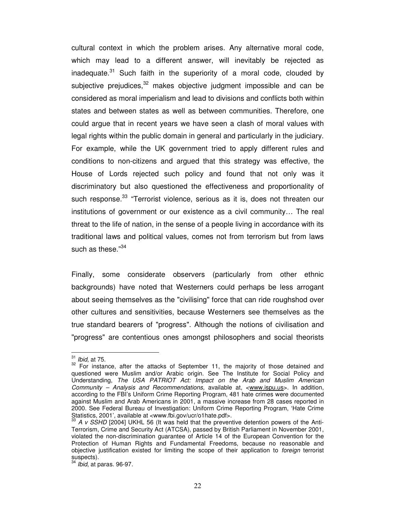cultural context in which the problem arises. Any alternative moral code, which may lead to a different answer, will inevitably be rejected as inadequate.<sup>31</sup> Such faith in the superiority of a moral code, clouded by subjective prejudices, $32$  makes objective judgment impossible and can be considered as moral imperialism and lead to divisions and conflicts both within states and between states as well as between communities. Therefore, one could argue that in recent years we have seen a clash of moral values with legal rights within the public domain in general and particularly in the judiciary. For example, while the UK government tried to apply different rules and conditions to non-citizens and argued that this strategy was effective, the House of Lords rejected such policy and found that not only was it discriminatory but also questioned the effectiveness and proportionality of such response.<sup>33</sup> "Terrorist violence, serious as it is, does not threaten our institutions of government or our existence as a civil community… The real threat to the life of nation, in the sense of a people living in accordance with its traditional laws and political values, comes not from terrorism but from laws such as these."<sup>34</sup>

Finally, some considerate observers (particularly from other ethnic backgrounds) have noted that Westerners could perhaps be less arrogant about seeing themselves as the "civilising" force that can ride roughshod over other cultures and sensitivities, because Westerners see themselves as the true standard bearers of "progress". Although the notions of civilisation and "progress" are contentious ones amongst philosophers and social theorists

 $31$  Ibid, at 75.

 $32$  For instance, after the attacks of September 11, the majority of those detained and questioned were Muslim and/or Arabic origin. See The Institute for Social Policy and Understanding, The USA PATRIOT Act: Impact on the Arab and Muslim American Community – Analysis and Recommendations, available at, <www.ispu.us>. In addition, according to the FBI's Uniform Crime Reporting Program, 481 hate crimes were documented against Muslim and Arab Americans in 2001, a massive increase from 28 cases reported in 2000. See Federal Bureau of Investigation: Uniform Crime Reporting Program, 'Hate Crime Statistics, 2001', available at <www.fbi.gov/ucr/o1hate.pdf>.

A v SSHD [2004] UKHL 56 (It was held that the preventive detention powers of the Anti-Terrorism, Crime and Security Act (ATCSA), passed by British Parliament in November 2001, violated the non-discrimination guarantee of Article 14 of the European Convention for the Protection of Human Rights and Fundamental Freedoms, because no reasonable and objective justification existed for limiting the scope of their application to foreign terrorist suspects).

 $34$  Ibid, at paras. 96-97.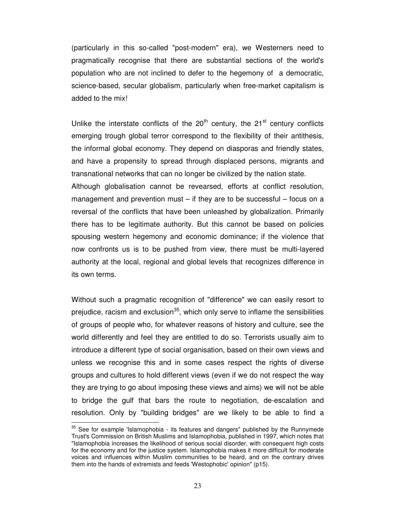(particularly in this so-called "post-modern" era), we Westerners need to pragmatically recognise that there are substantial sections of the world's population who are not inclined to defer to the hegemony of a democratic, science-based, secular globalism, particularly when free-market capitalism is added to the mix!

Unlike the interstate conflicts of the  $20<sup>th</sup>$  century, the  $21<sup>st</sup>$  century conflicts emerging trough global terror correspond to the flexibility of their antithesis, the informal global economy. They depend on diasporas and friendly states, and have a propensity to spread through displaced persons, migrants and transnational networks that can no longer be civilized by the nation state. Although globalisation cannot be revearsed, efforts at conflict resolution, management and prevention must – if they are to be successful – focus on a reversal of the conflicts that have been unleashed by globalization. Primarily there has to be legitimate authority. But this cannot be based on policies spousing western hegemony and economic dominance; if the violence that now confronts us is to be pushed from view, there must be multi-layered authority at the local, regional and global levels that recognizes difference in its own terms.

Without such a pragmatic recognition of "difference" we can easily resort to prejudice, racism and exclusion<sup>35</sup>, which only serve to inflame the sensibilities of groups of people who, for whatever reasons of history and culture, see the world differently and feel they are entitled to do so. Terrorists usually aim to introduce a different type of social organisation, based on their own views and unless we recognise this and in some cases respect the rights of diverse groups and cultures to hold different views (even if we do not respect the way they are trying to go about imposing these views and aims) we will not be able to bridge the gulf that bars the route to negotiation, de-escalation and resolution. Only by "building bridges" are we likely to be able to find a

 $35$  See for example 'Islamophobia - its features and dangers" published by the Runnymede Trust's Commission on British Muslims and Islamophobia, published in 1997, which notes that "Islamophobia increases the likelihood of serious social disorder, with consequent high costs for the economy and for the justice system. Islamophobia makes it more difficult for moderate voices and influences within Muslim communities to be heard, and on the contrary drives them into the hands of extremists and feeds 'Westophobic' opinion" (p15).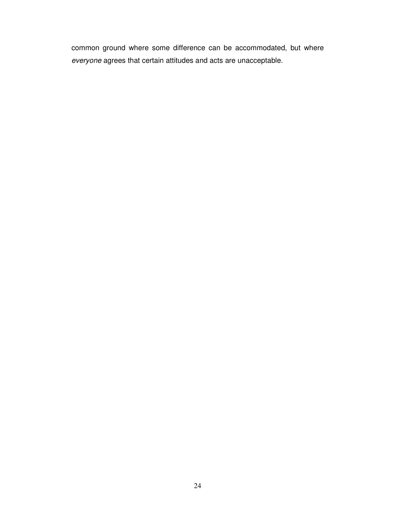common ground where some difference can be accommodated, but where everyone agrees that certain attitudes and acts are unacceptable.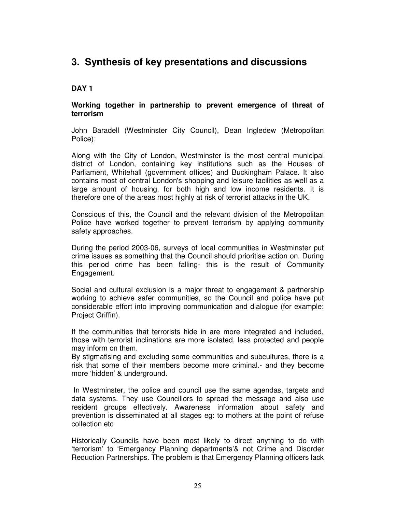## **3. Synthesis of key presentations and discussions**

#### **DAY 1**

#### **Working together in partnership to prevent emergence of threat of terrorism**

John Baradell (Westminster City Council), Dean Ingledew (Metropolitan Police);

Along with the City of London, Westminster is the most central municipal district of London, containing key institutions such as the Houses of Parliament, Whitehall (government offices) and Buckingham Palace. It also contains most of central London's shopping and leisure facilities as well as a large amount of housing, for both high and low income residents. It is therefore one of the areas most highly at risk of terrorist attacks in the UK.

Conscious of this, the Council and the relevant division of the Metropolitan Police have worked together to prevent terrorism by applying community safety approaches.

During the period 2003-06, surveys of local communities in Westminster put crime issues as something that the Council should prioritise action on. During this period crime has been falling- this is the result of Community Engagement.

Social and cultural exclusion is a major threat to engagement & partnership working to achieve safer communities, so the Council and police have put considerable effort into improving communication and dialogue (for example: Project Griffin).

If the communities that terrorists hide in are more integrated and included, those with terrorist inclinations are more isolated, less protected and people may inform on them.

By stigmatising and excluding some communities and subcultures, there is a risk that some of their members become more criminal.- and they become more 'hidden' & underground.

 In Westminster, the police and council use the same agendas, targets and data systems. They use Councillors to spread the message and also use resident groups effectively. Awareness information about safety and prevention is disseminated at all stages eg: to mothers at the point of refuse collection etc

Historically Councils have been most likely to direct anything to do with 'terrorism' to 'Emergency Planning departments'& not Crime and Disorder Reduction Partnerships. The problem is that Emergency Planning officers lack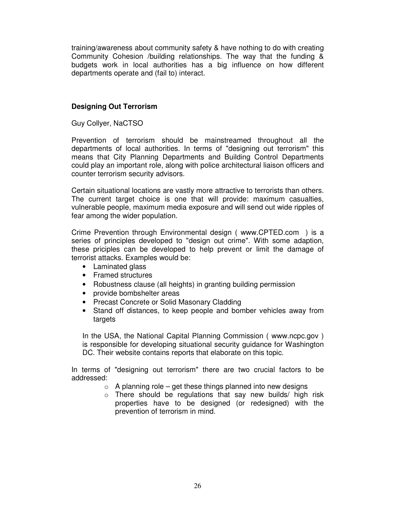training/awareness about community safety & have nothing to do with creating Community Cohesion /building relationships. The way that the funding & budgets work in local authorities has a big influence on how different departments operate and (fail to) interact.

#### **Designing Out Terrorism**

Guy Collyer, NaCTSO

Prevention of terrorism should be mainstreamed throughout all the departments of local authorities. In terms of "designing out terrorism" this means that City Planning Departments and Building Control Departments could play an important role, along with police architectural liaison officers and counter terrorism security advisors.

Certain situational locations are vastly more attractive to terrorists than others. The current target choice is one that will provide: maximum casualties, vulnerable people, maximum media exposure and will send out wide ripples of fear among the wider population.

Crime Prevention through Environmental design ( www.CPTED.com ) is a series of principles developed to "design out crime". With some adaption, these priciples can be developed to help prevent or limit the damage of terrorist attacks. Examples would be:

- Laminated glass
- Framed structures
- Robustness clause (all heights) in granting building permission
- provide bombshelter areas
- Precast Concrete or Solid Masonary Cladding
- Stand off distances, to keep people and bomber vehicles away from targets

In the USA, the National Capital Planning Commission ( www.ncpc.gov ) is responsible for developing situational security guidance for Washington DC. Their website contains reports that elaborate on this topic.

In terms of "designing out terrorism" there are two crucial factors to be addressed:

- $\circ$  A planning role get these things planned into new designs
- o There should be regulations that say new builds/ high risk properties have to be designed (or redesigned) with the prevention of terrorism in mind.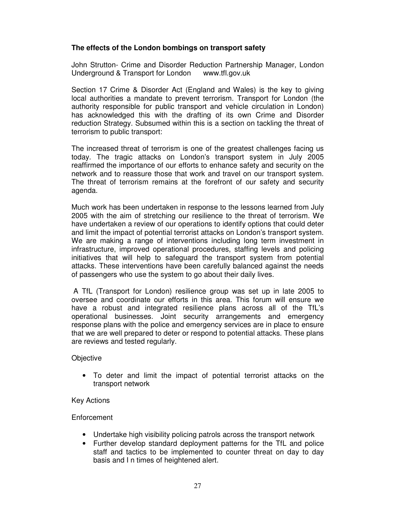#### **The effects of the London bombings on transport safety**

John Strutton- Crime and Disorder Reduction Partnership Manager, London Underground & Transport for London www.tfl.gov.uk

Section 17 Crime & Disorder Act (England and Wales) is the key to giving local authorities a mandate to prevent terrorism. Transport for London (the authority responsible for public transport and vehicle circulation in London) has acknowledged this with the drafting of its own Crime and Disorder reduction Strategy. Subsumed within this is a section on tackling the threat of terrorism to public transport:

The increased threat of terrorism is one of the greatest challenges facing us today. The tragic attacks on London's transport system in July 2005 reaffirmed the importance of our efforts to enhance safety and security on the network and to reassure those that work and travel on our transport system. The threat of terrorism remains at the forefront of our safety and security agenda.

Much work has been undertaken in response to the lessons learned from July 2005 with the aim of stretching our resilience to the threat of terrorism. We have undertaken a review of our operations to identify options that could deter and limit the impact of potential terrorist attacks on London's transport system. We are making a range of interventions including long term investment in infrastructure, improved operational procedures, staffing levels and policing initiatives that will help to safeguard the transport system from potential attacks. These interventions have been carefully balanced against the needs of passengers who use the system to go about their daily lives.

 A TfL (Transport for London) resilience group was set up in late 2005 to oversee and coordinate our efforts in this area. This forum will ensure we have a robust and integrated resilience plans across all of the TfL's operational businesses. Joint security arrangements and emergency response plans with the police and emergency services are in place to ensure that we are well prepared to deter or respond to potential attacks. These plans are reviews and tested regularly.

#### **Objective**

• To deter and limit the impact of potential terrorist attacks on the transport network

#### Key Actions

#### **Enforcement**

- Undertake high visibility policing patrols across the transport network
- Further develop standard deployment patterns for the TfL and police staff and tactics to be implemented to counter threat on day to day basis and I n times of heightened alert.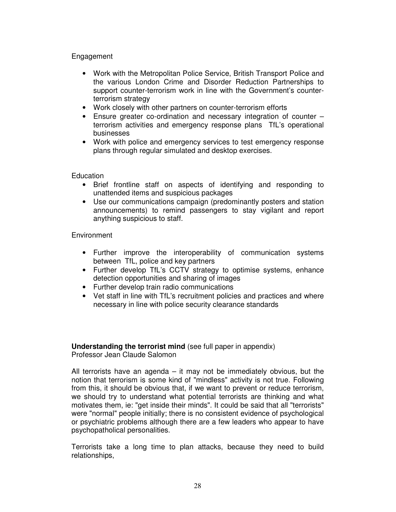#### Engagement

- Work with the Metropolitan Police Service, British Transport Police and the various London Crime and Disorder Reduction Partnerships to support counter-terrorism work in line with the Government's counterterrorism strategy
- Work closely with other partners on counter-terrorism efforts
- Ensure greater co-ordination and necessary integration of counter terrorism activities and emergency response plans TfL's operational businesses
- Work with police and emergency services to test emergency response plans through regular simulated and desktop exercises.

**Education** 

- Brief frontline staff on aspects of identifying and responding to unattended items and suspicious packages
- Use our communications campaign (predominantly posters and station announcements) to remind passengers to stay vigilant and report anything suspicious to staff.

**Environment** 

- Further improve the interoperability of communication systems between TfL, police and key partners
- Further develop TfL's CCTV strategy to optimise systems, enhance detection opportunities and sharing of images
- Further develop train radio communications
- Vet staff in line with TfL's recruitment policies and practices and where necessary in line with police security clearance standards

#### **Understanding the terrorist mind** (see full paper in appendix) Professor Jean Claude Salomon

All terrorists have an agenda – it may not be immediately obvious, but the notion that terrorism is some kind of "mindless" activity is not true. Following from this, it should be obvious that, if we want to prevent or reduce terrorism, we should try to understand what potential terrorists are thinking and what motivates them, ie: "get inside their minds". It could be said that all "terrorists" were "normal" people initially; there is no consistent evidence of psychological or psychiatric problems although there are a few leaders who appear to have psychopatholical personalities.

Terrorists take a long time to plan attacks, because they need to build relationships,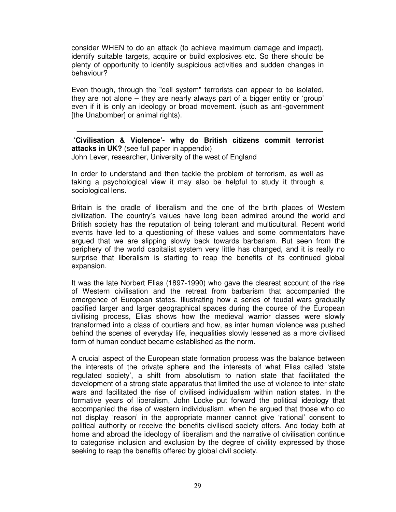consider WHEN to do an attack (to achieve maximum damage and impact), identify suitable targets, acquire or build explosives etc. So there should be plenty of opportunity to identify suspicious activities and sudden changes in behaviour?

Even though, through the "cell system" terrorists can appear to be isolated, they are not alone – they are nearly always part of a bigger entity or 'group' even if it is only an ideology or broad movement. (such as anti-government [the Unabomber] or animal rights).

**'Civilisation & Violence'- why do British citizens commit terrorist attacks in UK?** (see full paper in appendix) John Lever, researcher, University of the west of England

In order to understand and then tackle the problem of terrorism, as well as taking a psychological view it may also be helpful to study it through a sociological lens.

Britain is the cradle of liberalism and the one of the birth places of Western civilization. The country's values have long been admired around the world and British society has the reputation of being tolerant and multicultural. Recent world events have led to a questioning of these values and some commentators have argued that we are slipping slowly back towards barbarism. But seen from the periphery of the world capitalist system very little has changed, and it is really no surprise that liberalism is starting to reap the benefits of its continued global expansion.

It was the late Norbert Elias (1897-1990) who gave the clearest account of the rise of Western civilisation and the retreat from barbarism that accompanied the emergence of European states. Illustrating how a series of feudal wars gradually pacified larger and larger geographical spaces during the course of the European civilising process, Elias shows how the medieval warrior classes were slowly transformed into a class of courtiers and how, as inter human violence was pushed behind the scenes of everyday life, inequalities slowly lessened as a more civilised form of human conduct became established as the norm.

A crucial aspect of the European state formation process was the balance between the interests of the private sphere and the interests of what Elias called 'state regulated society', a shift from absolutism to nation state that facilitated the development of a strong state apparatus that limited the use of violence to inter-state wars and facilitated the rise of civilised individualism within nation states. In the formative years of liberalism, John Locke put forward the political ideology that accompanied the rise of western individualism, when he argued that those who do not display 'reason' in the appropriate manner cannot give 'rational' consent to political authority or receive the benefits civilised society offers. And today both at home and abroad the ideology of liberalism and the narrative of civilisation continue to categorise inclusion and exclusion by the degree of civility expressed by those seeking to reap the benefits offered by global civil society.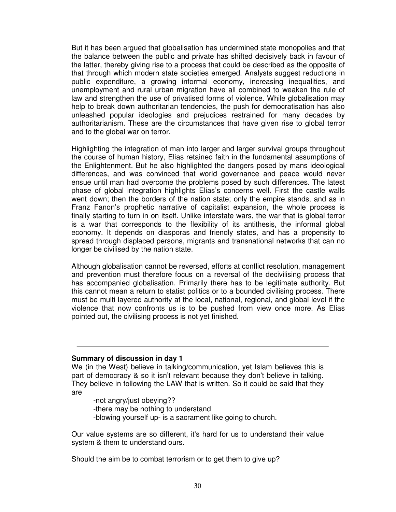But it has been argued that globalisation has undermined state monopolies and that the balance between the public and private has shifted decisively back in favour of the latter, thereby giving rise to a process that could be described as the opposite of that through which modern state societies emerged. Analysts suggest reductions in public expenditure, a growing informal economy, increasing inequalities, and unemployment and rural urban migration have all combined to weaken the rule of law and strengthen the use of privatised forms of violence. While globalisation may help to break down authoritarian tendencies, the push for democratisation has also unleashed popular ideologies and prejudices restrained for many decades by authoritarianism. These are the circumstances that have given rise to global terror and to the global war on terror.

Highlighting the integration of man into larger and larger survival groups throughout the course of human history, Elias retained faith in the fundamental assumptions of the Enlightenment. But he also highlighted the dangers posed by mans ideological differences, and was convinced that world governance and peace would never ensue until man had overcome the problems posed by such differences. The latest phase of global integration highlights Elias's concerns well. First the castle walls went down; then the borders of the nation state; only the empire stands, and as in Franz Fanon's prophetic narrative of capitalist expansion, the whole process is finally starting to turn in on itself. Unlike interstate wars, the war that is global terror is a war that corresponds to the flexibility of its antithesis, the informal global economy. It depends on diasporas and friendly states, and has a propensity to spread through displaced persons, migrants and transnational networks that can no longer be civilised by the nation state.

Although globalisation cannot be reversed, efforts at conflict resolution, management and prevention must therefore focus on a reversal of the decivilising process that has accompanied globalisation. Primarily there has to be legitimate authority. But this cannot mean a return to statist politics or to a bounded civilising process. There must be multi layered authority at the local, national, regional, and global level if the violence that now confronts us is to be pushed from view once more. As Elias pointed out, the civilising process is not yet finished.

#### **Summary of discussion in day 1**

We (in the West) believe in talking/communication, yet Islam believes this is part of democracy & so it isn't relevant because they don't believe in talking. They believe in following the LAW that is written. So it could be said that they are

-not angry/just obeying??

-there may be nothing to understand

-blowing yourself up- is a sacrament like going to church.

Our value systems are so different, it's hard for us to understand their value system & them to understand ours.

Should the aim be to combat terrorism or to get them to give up?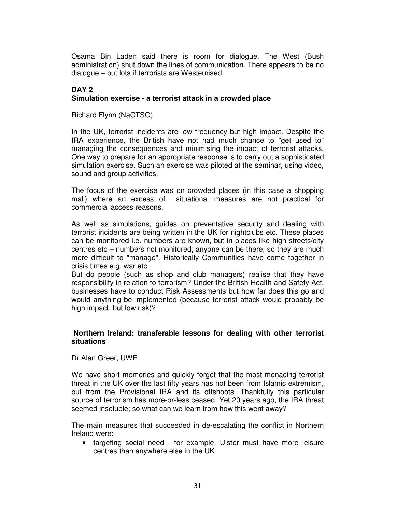Osama Bin Laden said there is room for dialogue. The West (Bush administration) shut down the lines of communication. There appears to be no dialogue – but lots if terrorists are Westernised.

#### **DAY 2 Simulation exercise - a terrorist attack in a crowded place**

Richard Flynn (NaCTSO)

In the UK, terrorist incidents are low frequency but high impact. Despite the IRA experience, the British have not had much chance to "get used to" managing the consequences and minimising the impact of terrorist attacks. One way to prepare for an appropriate response is to carry out a sophisticated simulation exercise. Such an exercise was piloted at the seminar, using video, sound and group activities.

The focus of the exercise was on crowded places (in this case a shopping mall) where an excess of situational measures are not practical for commercial access reasons.

As well as simulations, guides on preventative security and dealing with terrorist incidents are being written in the UK for nightclubs etc. These places can be monitored i.e. numbers are known, but in places like high streets/city centres etc – numbers not monitored; anyone can be there, so they are much more difficult to "manage". Historically Communities have come together in crisis times e.g. war etc

But do people (such as shop and club managers) realise that they have responsibility in relation to terrorism? Under the British Health and Safety Act, businesses have to conduct Risk Assessments but how far does this go and would anything be implemented (because terrorist attack would probably be high impact, but low risk)?

#### **Northern Ireland: transferable lessons for dealing with other terrorist situations**

#### Dr Alan Greer, UWE

We have short memories and quickly forget that the most menacing terrorist threat in the UK over the last fifty years has not been from Islamic extremism, but from the Provisional IRA and its offshoots. Thankfully this particular source of terrorism has more-or-less ceased. Yet 20 years ago, the IRA threat seemed insoluble; so what can we learn from how this went away?

The main measures that succeeded in de-escalating the conflict in Northern Ireland were:

• targeting social need - for example, Ulster must have more leisure centres than anywhere else in the UK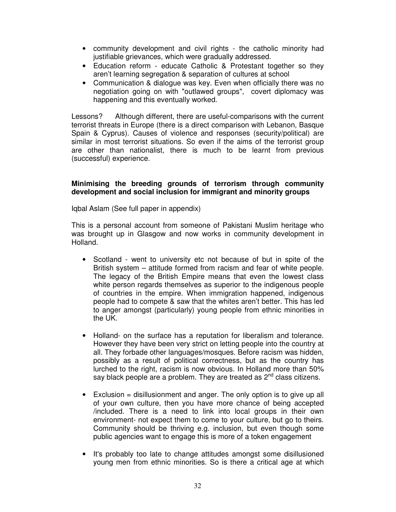- community development and civil rights the catholic minority had justifiable grievances, which were gradually addressed.
- Education reform educate Catholic & Protestant together so they aren't learning segregation & separation of cultures at school
- Communication & dialogue was key. Even when officially there was no negotiation going on with "outlawed groups", covert diplomacy was happening and this eventually worked.

Lessons? Although different, there are useful-comparisons with the current terrorist threats in Europe (there is a direct comparison with Lebanon, Basque Spain & Cyprus). Causes of violence and responses (security/political) are similar in most terrorist situations. So even if the aims of the terrorist group are other than nationalist, there is much to be learnt from previous (successful) experience.

#### **Minimising the breeding grounds of terrorism through community development and social inclusion for immigrant and minority groups**

Iqbal Aslam (See full paper in appendix)

This is a personal account from someone of Pakistani Muslim heritage who was brought up in Glasgow and now works in community development in Holland.

- Scotland went to university etc not because of but in spite of the British system – attitude formed from racism and fear of white people. The legacy of the British Empire means that even the lowest class white person regards themselves as superior to the indigenous people of countries in the empire. When immigration happened, indigenous people had to compete & saw that the whites aren't better. This has led to anger amongst (particularly) young people from ethnic minorities in the UK.
- Holland- on the surface has a reputation for liberalism and tolerance. However they have been very strict on letting people into the country at all. They forbade other languages/mosques. Before racism was hidden, possibly as a result of political correctness, but as the country has lurched to the right, racism is now obvious. In Holland more than 50% say black people are a problem. They are treated as 2<sup>nd</sup> class citizens.
- Exclusion = disillusionment and anger. The only option is to give up all of your own culture, then you have more chance of being accepted /included. There is a need to link into local groups in their own environment- not expect them to come to your culture, but go to theirs. Community should be thriving e.g. inclusion, but even though some public agencies want to engage this is more of a token engagement
- It's probably too late to change attitudes amongst some disillusioned young men from ethnic minorities. So is there a critical age at which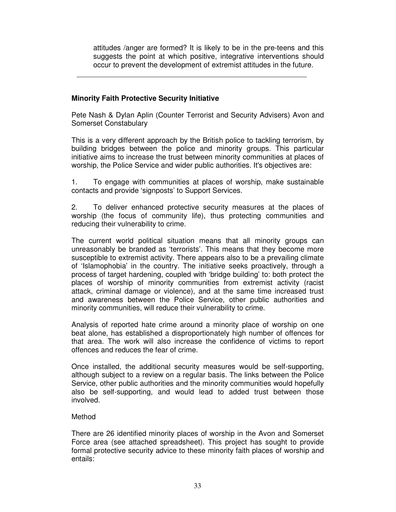attitudes /anger are formed? It is likely to be in the pre-teens and this suggests the point at which positive, integrative interventions should occur to prevent the development of extremist attitudes in the future.

#### **Minority Faith Protective Security Initiative**

Pete Nash & Dylan Aplin (Counter Terrorist and Security Advisers) Avon and Somerset Constabulary

This is a very different approach by the British police to tackling terrorism, by building bridges between the police and minority groups. This particular initiative aims to increase the trust between minority communities at places of worship, the Police Service and wider public authorities. It's objectives are:

1. To engage with communities at places of worship, make sustainable contacts and provide 'signposts' to Support Services.

2. To deliver enhanced protective security measures at the places of worship (the focus of community life), thus protecting communities and reducing their vulnerability to crime.

The current world political situation means that all minority groups can unreasonably be branded as 'terrorists'. This means that they become more susceptible to extremist activity. There appears also to be a prevailing climate of 'Islamophobia' in the country. The initiative seeks proactively, through a process of target hardening, coupled with 'bridge building' to: both protect the places of worship of minority communities from extremist activity (racist attack, criminal damage or violence), and at the same time increased trust and awareness between the Police Service, other public authorities and minority communities, will reduce their vulnerability to crime.

Analysis of reported hate crime around a minority place of worship on one beat alone, has established a disproportionately high number of offences for that area. The work will also increase the confidence of victims to report offences and reduces the fear of crime.

Once installed, the additional security measures would be self-supporting, although subject to a review on a regular basis. The links between the Police Service, other public authorities and the minority communities would hopefully also be self-supporting, and would lead to added trust between those involved.

#### Method

There are 26 identified minority places of worship in the Avon and Somerset Force area (see attached spreadsheet). This project has sought to provide formal protective security advice to these minority faith places of worship and entails: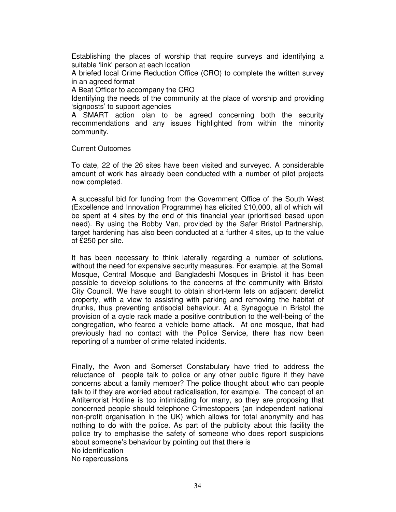Establishing the places of worship that require surveys and identifying a suitable 'link' person at each location

A briefed local Crime Reduction Office (CRO) to complete the written survey in an agreed format

A Beat Officer to accompany the CRO

Identifying the needs of the community at the place of worship and providing 'signposts' to support agencies

A SMART action plan to be agreed concerning both the security recommendations and any issues highlighted from within the minority community.

Current Outcomes

To date, 22 of the 26 sites have been visited and surveyed. A considerable amount of work has already been conducted with a number of pilot projects now completed.

A successful bid for funding from the Government Office of the South West (Excellence and Innovation Programme) has elicited £10,000, all of which will be spent at 4 sites by the end of this financial year (prioritised based upon need). By using the Bobby Van, provided by the Safer Bristol Partnership, target hardening has also been conducted at a further 4 sites, up to the value of £250 per site.

It has been necessary to think laterally regarding a number of solutions, without the need for expensive security measures. For example, at the Somali Mosque, Central Mosque and Bangladeshi Mosques in Bristol it has been possible to develop solutions to the concerns of the community with Bristol City Council. We have sought to obtain short-term lets on adjacent derelict property, with a view to assisting with parking and removing the habitat of drunks, thus preventing antisocial behaviour. At a Synagogue in Bristol the provision of a cycle rack made a positive contribution to the well-being of the congregation, who feared a vehicle borne attack. At one mosque, that had previously had no contact with the Police Service, there has now been reporting of a number of crime related incidents.

Finally, the Avon and Somerset Constabulary have tried to address the reluctance of people talk to police or any other public figure if they have concerns about a family member? The police thought about who can people talk to if they are worried about radicalisation, for example. The concept of an Antiterrorist Hotline is too intimidating for many, so they are proposing that concerned people should telephone Crimestoppers (an independent national non-profit organisation in the UK) which allows for total anonymity and has nothing to do with the police. As part of the publicity about this facility the police try to emphasise the safety of someone who does report suspicions about someone's behaviour by pointing out that there is No identification No repercussions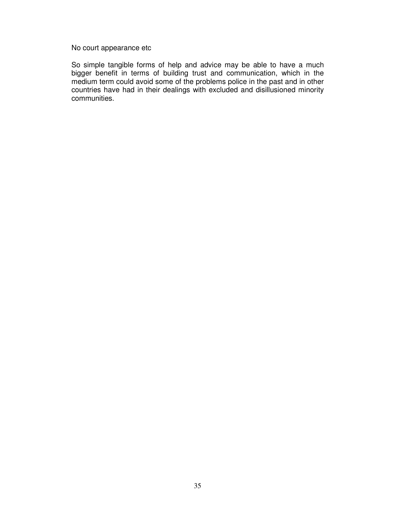No court appearance etc

So simple tangible forms of help and advice may be able to have a much bigger benefit in terms of building trust and communication, which in the medium term could avoid some of the problems police in the past and in other countries have had in their dealings with excluded and disillusioned minority communities.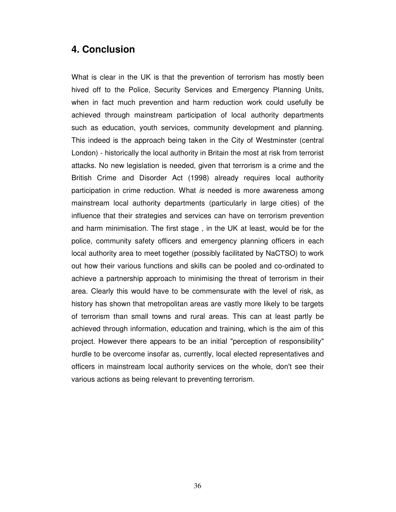#### **4. Conclusion**

What is clear in the UK is that the prevention of terrorism has mostly been hived off to the Police, Security Services and Emergency Planning Units, when in fact much prevention and harm reduction work could usefully be achieved through mainstream participation of local authority departments such as education, youth services, community development and planning. This indeed is the approach being taken in the City of Westminster (central London) - historically the local authority in Britain the most at risk from terrorist attacks. No new legislation is needed, given that terrorism is a crime and the British Crime and Disorder Act (1998) already requires local authority participation in crime reduction. What is needed is more awareness among mainstream local authority departments (particularly in large cities) of the influence that their strategies and services can have on terrorism prevention and harm minimisation. The first stage , in the UK at least, would be for the police, community safety officers and emergency planning officers in each local authority area to meet together (possibly facilitated by NaCTSO) to work out how their various functions and skills can be pooled and co-ordinated to achieve a partnership approach to minimising the threat of terrorism in their area. Clearly this would have to be commensurate with the level of risk, as history has shown that metropolitan areas are vastly more likely to be targets of terrorism than small towns and rural areas. This can at least partly be achieved through information, education and training, which is the aim of this project. However there appears to be an initial "perception of responsibility" hurdle to be overcome insofar as, currently, local elected representatives and officers in mainstream local authority services on the whole, don't see their various actions as being relevant to preventing terrorism.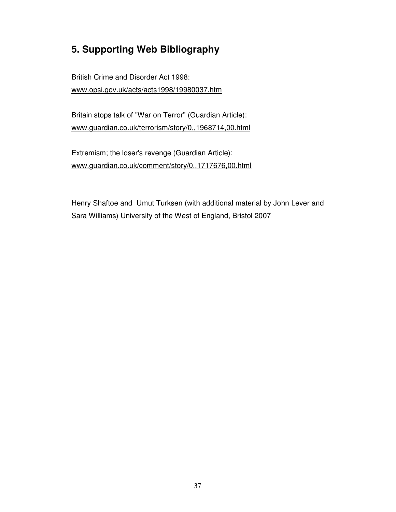## **5. Supporting Web Bibliography**

British Crime and Disorder Act 1998: www.opsi.gov.uk/acts/acts1998/19980037.htm

Britain stops talk of "War on Terror" (Guardian Article): www.guardian.co.uk/terrorism/story/0,,1968714,00.html

Extremism; the loser's revenge (Guardian Article): www.guardian.co.uk/comment/story/0,,1717676,00.html

Henry Shaftoe and Umut Turksen (with additional material by John Lever and Sara Williams) University of the West of England, Bristol 2007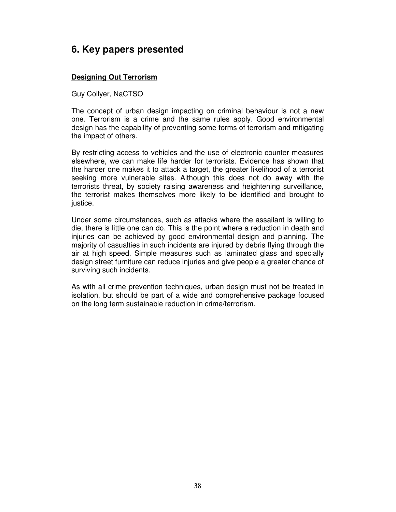## **6. Key papers presented**

#### **Designing Out Terrorism**

Guy Collyer, NaCTSO

The concept of urban design impacting on criminal behaviour is not a new one. Terrorism is a crime and the same rules apply. Good environmental design has the capability of preventing some forms of terrorism and mitigating the impact of others.

By restricting access to vehicles and the use of electronic counter measures elsewhere, we can make life harder for terrorists. Evidence has shown that the harder one makes it to attack a target, the greater likelihood of a terrorist seeking more vulnerable sites. Although this does not do away with the terrorists threat, by society raising awareness and heightening surveillance, the terrorist makes themselves more likely to be identified and brought to justice.

Under some circumstances, such as attacks where the assailant is willing to die, there is little one can do. This is the point where a reduction in death and injuries can be achieved by good environmental design and planning. The majority of casualties in such incidents are injured by debris flying through the air at high speed. Simple measures such as laminated glass and specially design street furniture can reduce injuries and give people a greater chance of surviving such incidents.

As with all crime prevention techniques, urban design must not be treated in isolation, but should be part of a wide and comprehensive package focused on the long term sustainable reduction in crime/terrorism.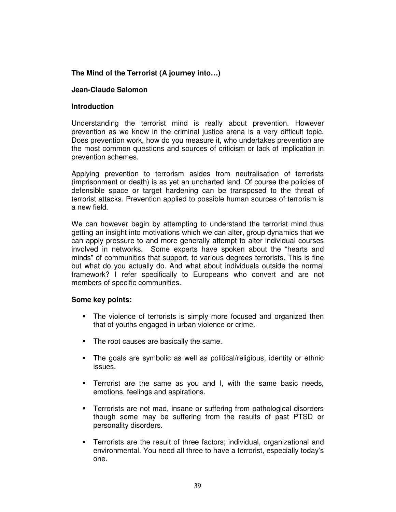#### **The Mind of the Terrorist (A journey into…)**

#### **Jean-Claude Salomon**

#### **Introduction**

Understanding the terrorist mind is really about prevention. However prevention as we know in the criminal justice arena is a very difficult topic. Does prevention work, how do you measure it, who undertakes prevention are the most common questions and sources of criticism or lack of implication in prevention schemes.

Applying prevention to terrorism asides from neutralisation of terrorists (imprisonment or death) is as yet an uncharted land. Of course the policies of defensible space or target hardening can be transposed to the threat of terrorist attacks. Prevention applied to possible human sources of terrorism is a new field.

We can however begin by attempting to understand the terrorist mind thus getting an insight into motivations which we can alter, group dynamics that we can apply pressure to and more generally attempt to alter individual courses involved in networks. Some experts have spoken about the "hearts and minds" of communities that support, to various degrees terrorists. This is fine but what do you actually do. And what about individuals outside the normal framework? I refer specifically to Europeans who convert and are not members of specific communities.

#### **Some key points:**

- The violence of terrorists is simply more focused and organized then that of youths engaged in urban violence or crime.
- The root causes are basically the same.
- The goals are symbolic as well as political/religious, identity or ethnic issues.
- Terrorist are the same as you and I, with the same basic needs, emotions, feelings and aspirations.
- Terrorists are not mad, insane or suffering from pathological disorders though some may be suffering from the results of past PTSD or personality disorders.
- Terrorists are the result of three factors; individual, organizational and environmental. You need all three to have a terrorist, especially today's one.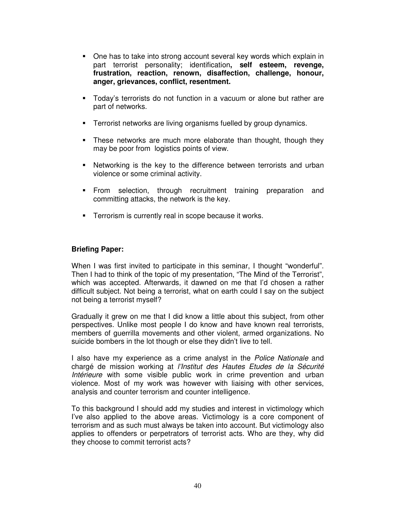- One has to take into strong account several key words which explain in part terrorist personality; identification**, self esteem, revenge, frustration, reaction, renown, disaffection, challenge, honour, anger, grievances, conflict, resentment.**
- Today's terrorists do not function in a vacuum or alone but rather are part of networks.
- Terrorist networks are living organisms fuelled by group dynamics.
- These networks are much more elaborate than thought, though they may be poor from logistics points of view.
- Networking is the key to the difference between terrorists and urban violence or some criminal activity.
- From selection, through recruitment training preparation and committing attacks, the network is the key.
- **Terrorism is currently real in scope because it works.**

#### **Briefing Paper:**

When I was first invited to participate in this seminar, I thought "wonderful". Then I had to think of the topic of my presentation, "The Mind of the Terrorist", which was accepted. Afterwards, it dawned on me that I'd chosen a rather difficult subject. Not being a terrorist, what on earth could I say on the subject not being a terrorist myself?

Gradually it grew on me that I did know a little about this subject, from other perspectives. Unlike most people I do know and have known real terrorists, members of guerrilla movements and other violent, armed organizations. No suicide bombers in the lot though or else they didn't live to tell.

I also have my experience as a crime analyst in the *Police Nationale* and chargé de mission working at l'Institut des Hautes Etudes de la Sécurité Intérieure with some visible public work in crime prevention and urban violence. Most of my work was however with liaising with other services, analysis and counter terrorism and counter intelligence.

To this background I should add my studies and interest in victimology which I've also applied to the above areas. Victimology is a core component of terrorism and as such must always be taken into account. But victimology also applies to offenders or perpetrators of terrorist acts. Who are they, why did they choose to commit terrorist acts?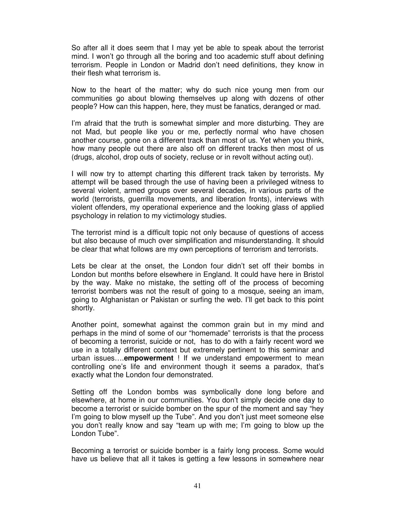So after all it does seem that I may yet be able to speak about the terrorist mind. I won't go through all the boring and too academic stuff about defining terrorism. People in London or Madrid don't need definitions, they know in their flesh what terrorism is.

Now to the heart of the matter; why do such nice young men from our communities go about blowing themselves up along with dozens of other people? How can this happen, here, they must be fanatics, deranged or mad.

I'm afraid that the truth is somewhat simpler and more disturbing. They are not Mad, but people like you or me, perfectly normal who have chosen another course, gone on a different track than most of us. Yet when you think, how many people out there are also off on different tracks then most of us (drugs, alcohol, drop outs of society, recluse or in revolt without acting out).

I will now try to attempt charting this different track taken by terrorists. My attempt will be based through the use of having been a privileged witness to several violent, armed groups over several decades, in various parts of the world (terrorists, guerrilla movements, and liberation fronts), interviews with violent offenders, my operational experience and the looking glass of applied psychology in relation to my victimology studies.

The terrorist mind is a difficult topic not only because of questions of access but also because of much over simplification and misunderstanding. It should be clear that what follows are my own perceptions of terrorism and terrorists.

Lets be clear at the onset, the London four didn't set off their bombs in London but months before elsewhere in England. It could have here in Bristol by the way. Make no mistake, the setting off of the process of becoming terrorist bombers was not the result of going to a mosque, seeing an imam, going to Afghanistan or Pakistan or surfing the web. I'll get back to this point shortly.

Another point, somewhat against the common grain but in my mind and perhaps in the mind of some of our "homemade" terrorists is that the process of becoming a terrorist, suicide or not, has to do with a fairly recent word we use in a totally different context but extremely pertinent to this seminar and urban issues….**empowerment** ! If we understand empowerment to mean controlling one's life and environment though it seems a paradox, that's exactly what the London four demonstrated.

Setting off the London bombs was symbolically done long before and elsewhere, at home in our communities. You don't simply decide one day to become a terrorist or suicide bomber on the spur of the moment and say "hey I'm going to blow myself up the Tube". And you don't just meet someone else you don't really know and say "team up with me; I'm going to blow up the London Tube".

Becoming a terrorist or suicide bomber is a fairly long process. Some would have us believe that all it takes is getting a few lessons in somewhere near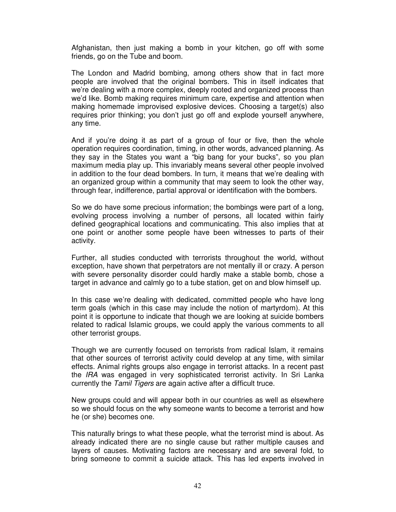Afghanistan, then just making a bomb in your kitchen, go off with some friends, go on the Tube and boom.

The London and Madrid bombing, among others show that in fact more people are involved that the original bombers. This in itself indicates that we're dealing with a more complex, deeply rooted and organized process than we'd like. Bomb making requires minimum care, expertise and attention when making homemade improvised explosive devices. Choosing a target(s) also requires prior thinking; you don't just go off and explode yourself anywhere, any time.

And if you're doing it as part of a group of four or five, then the whole operation requires coordination, timing, in other words, advanced planning. As they say in the States you want a "big bang for your bucks", so you plan maximum media play up. This invariably means several other people involved in addition to the four dead bombers. In turn, it means that we're dealing with an organized group within a community that may seem to look the other way, through fear, indifference, partial approval or identification with the bombers.

So we do have some precious information; the bombings were part of a long, evolving process involving a number of persons, all located within fairly defined geographical locations and communicating. This also implies that at one point or another some people have been witnesses to parts of their activity.

Further, all studies conducted with terrorists throughout the world, without exception, have shown that perpetrators are not mentally ill or crazy. A person with severe personality disorder could hardly make a stable bomb, chose a target in advance and calmly go to a tube station, get on and blow himself up.

In this case we're dealing with dedicated, committed people who have long term goals (which in this case may include the notion of martyrdom). At this point it is opportune to indicate that though we are looking at suicide bombers related to radical Islamic groups, we could apply the various comments to all other terrorist groups.

Though we are currently focused on terrorists from radical Islam, it remains that other sources of terrorist activity could develop at any time, with similar effects. Animal rights groups also engage in terrorist attacks. In a recent past the *IRA* was engaged in very sophisticated terrorist activity. In Sri Lanka currently the Tamil Tigers are again active after a difficult truce.

New groups could and will appear both in our countries as well as elsewhere so we should focus on the why someone wants to become a terrorist and how he (or she) becomes one.

This naturally brings to what these people, what the terrorist mind is about. As already indicated there are no single cause but rather multiple causes and layers of causes. Motivating factors are necessary and are several fold, to bring someone to commit a suicide attack. This has led experts involved in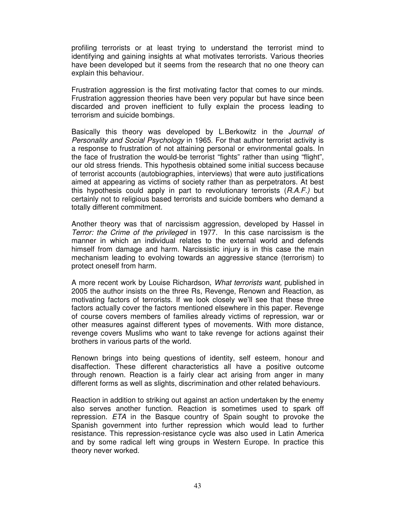profiling terrorists or at least trying to understand the terrorist mind to identifying and gaining insights at what motivates terrorists. Various theories have been developed but it seems from the research that no one theory can explain this behaviour.

Frustration aggression is the first motivating factor that comes to our minds. Frustration aggression theories have been very popular but have since been discarded and proven inefficient to fully explain the process leading to terrorism and suicide bombings.

Basically this theory was developed by L.Berkowitz in the Journal of Personality and Social Psychology in 1965. For that author terrorist activity is a response to frustration of not attaining personal or environmental goals. In the face of frustration the would-be terrorist "fights" rather than using "flight", our old stress friends. This hypothesis obtained some initial success because of terrorist accounts (autobiographies, interviews) that were auto justifications aimed at appearing as victims of society rather than as perpetrators. At best this hypothesis could apply in part to revolutionary terrorists  $(R.A.F.)$  but certainly not to religious based terrorists and suicide bombers who demand a totally different commitment.

Another theory was that of narcissism aggression, developed by Hassel in Terror: the Crime of the privileged in 1977. In this case narcissism is the manner in which an individual relates to the external world and defends himself from damage and harm. Narcissistic injury is in this case the main mechanism leading to evolving towards an aggressive stance (terrorism) to protect oneself from harm.

A more recent work by Louise Richardson, What terrorists want, published in 2005 the author insists on the three Rs, Revenge, Renown and Reaction, as motivating factors of terrorists. If we look closely we'll see that these three factors actually cover the factors mentioned elsewhere in this paper. Revenge of course covers members of families already victims of repression, war or other measures against different types of movements. With more distance, revenge covers Muslims who want to take revenge for actions against their brothers in various parts of the world.

Renown brings into being questions of identity, self esteem, honour and disaffection. These different characteristics all have a positive outcome through renown. Reaction is a fairly clear act arising from anger in many different forms as well as slights, discrimination and other related behaviours.

Reaction in addition to striking out against an action undertaken by the enemy also serves another function. Reaction is sometimes used to spark off repression. ETA in the Basque country of Spain sought to provoke the Spanish government into further repression which would lead to further resistance. This repression-resistance cycle was also used in Latin America and by some radical left wing groups in Western Europe. In practice this theory never worked.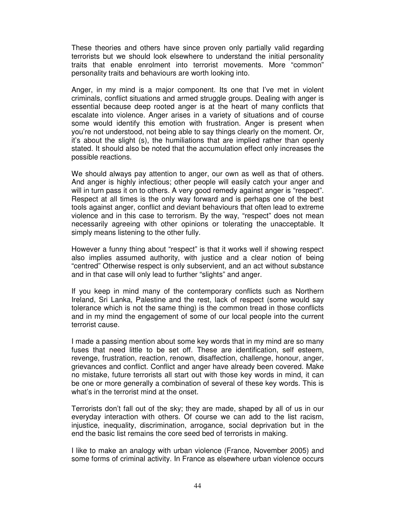These theories and others have since proven only partially valid regarding terrorists but we should look elsewhere to understand the initial personality traits that enable enrolment into terrorist movements. More "common" personality traits and behaviours are worth looking into.

Anger, in my mind is a major component. Its one that I've met in violent criminals, conflict situations and armed struggle groups. Dealing with anger is essential because deep rooted anger is at the heart of many conflicts that escalate into violence. Anger arises in a variety of situations and of course some would identify this emotion with frustration. Anger is present when you're not understood, not being able to say things clearly on the moment. Or, it's about the slight (s), the humiliations that are implied rather than openly stated. It should also be noted that the accumulation effect only increases the possible reactions.

We should always pay attention to anger, our own as well as that of others. And anger is highly infectious; other people will easily catch your anger and will in turn pass it on to others. A very good remedy against anger is "respect". Respect at all times is the only way forward and is perhaps one of the best tools against anger, conflict and deviant behaviours that often lead to extreme violence and in this case to terrorism. By the way, "respect" does not mean necessarily agreeing with other opinions or tolerating the unacceptable. It simply means listening to the other fully.

However a funny thing about "respect" is that it works well if showing respect also implies assumed authority, with justice and a clear notion of being "centred" Otherwise respect is only subservient, and an act without substance and in that case will only lead to further "slights" and anger.

If you keep in mind many of the contemporary conflicts such as Northern Ireland, Sri Lanka, Palestine and the rest, lack of respect (some would say tolerance which is not the same thing) is the common tread in those conflicts and in my mind the engagement of some of our local people into the current terrorist cause.

I made a passing mention about some key words that in my mind are so many fuses that need little to be set off. These are identification, self esteem, revenge, frustration, reaction, renown, disaffection, challenge, honour, anger, grievances and conflict. Conflict and anger have already been covered. Make no mistake, future terrorists all start out with those key words in mind, it can be one or more generally a combination of several of these key words. This is what's in the terrorist mind at the onset.

Terrorists don't fall out of the sky; they are made, shaped by all of us in our everyday interaction with others. Of course we can add to the list racism, injustice, inequality, discrimination, arrogance, social deprivation but in the end the basic list remains the core seed bed of terrorists in making.

I like to make an analogy with urban violence (France, November 2005) and some forms of criminal activity. In France as elsewhere urban violence occurs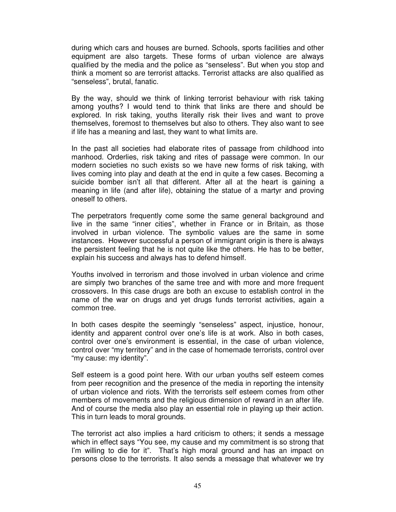during which cars and houses are burned. Schools, sports facilities and other equipment are also targets. These forms of urban violence are always qualified by the media and the police as "senseless". But when you stop and think a moment so are terrorist attacks. Terrorist attacks are also qualified as "senseless", brutal, fanatic.

By the way, should we think of linking terrorist behaviour with risk taking among youths? I would tend to think that links are there and should be explored. In risk taking, youths literally risk their lives and want to prove themselves, foremost to themselves but also to others. They also want to see if life has a meaning and last, they want to what limits are.

In the past all societies had elaborate rites of passage from childhood into manhood. Orderlies, risk taking and rites of passage were common. In our modern societies no such exists so we have new forms of risk taking, with lives coming into play and death at the end in quite a few cases. Becoming a suicide bomber isn't all that different. After all at the heart is gaining a meaning in life (and after life), obtaining the statue of a martyr and proving oneself to others.

The perpetrators frequently come some the same general background and live in the same "inner cities", whether in France or in Britain, as those involved in urban violence. The symbolic values are the same in some instances. However successful a person of immigrant origin is there is always the persistent feeling that he is not quite like the others. He has to be better, explain his success and always has to defend himself.

Youths involved in terrorism and those involved in urban violence and crime are simply two branches of the same tree and with more and more frequent crossovers. In this case drugs are both an excuse to establish control in the name of the war on drugs and yet drugs funds terrorist activities, again a common tree.

In both cases despite the seemingly "senseless" aspect, injustice, honour, identity and apparent control over one's life is at work. Also in both cases, control over one's environment is essential, in the case of urban violence, control over "my territory" and in the case of homemade terrorists, control over "my cause: my identity".

Self esteem is a good point here. With our urban youths self esteem comes from peer recognition and the presence of the media in reporting the intensity of urban violence and riots. With the terrorists self esteem comes from other members of movements and the religious dimension of reward in an after life. And of course the media also play an essential role in playing up their action. This in turn leads to moral grounds.

The terrorist act also implies a hard criticism to others; it sends a message which in effect says "You see, my cause and my commitment is so strong that I'm willing to die for it". That's high moral ground and has an impact on persons close to the terrorists. It also sends a message that whatever we try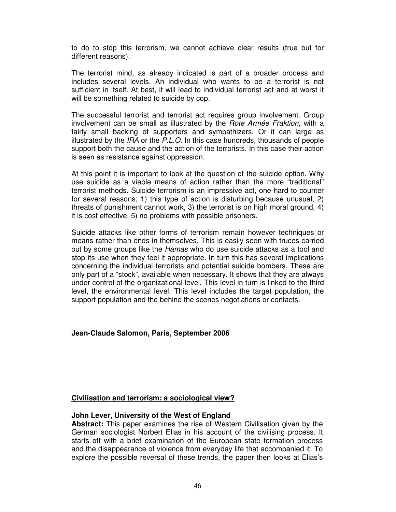to do to stop this terrorism, we cannot achieve clear results (true but for different reasons).

The terrorist mind, as already indicated is part of a broader process and includes several levels. An individual who wants to be a terrorist is not sufficient in itself. At best, it will lead to individual terrorist act and at worst it will be something related to suicide by cop.

The successful terrorist and terrorist act requires group involvement. Group involvement can be small as illustrated by the Rote Armée Fraktion, with a fairly small backing of supporters and sympathizers. Or it can large as illustrated by the IRA or the P.L.O. In this case hundreds, thousands of people support both the cause and the action of the terrorists. In this case their action is seen as resistance against oppression.

At this point it is important to look at the question of the suicide option. Why use suicide as a viable means of action rather than the more "traditional" terrorist methods. Suicide terrorism is an impressive act, one hard to counter for several reasons; 1) this type of action is disturbing because unusual, 2) threats of punishment cannot work, 3) the terrorist is on high moral ground, 4) it is cost effective, 5) no problems with possible prisoners.

Suicide attacks like other forms of terrorism remain however techniques or means rather than ends in themselves. This is easily seen with truces carried out by some groups like the Hamas who do use suicide attacks as a tool and stop its use when they feel it appropriate. In turn this has several implications concerning the individual terrorists and potential suicide bombers. These are only part of a "stock", available when necessary. It shows that they are always under control of the organizational level. This level in turn is linked to the third level, the environmental level. This level includes the target population, the support population and the behind the scenes negotiations or contacts.

#### **Jean-Claude Salomon, Paris, September 2006**

#### **Civilisation and terrorism: a sociological view?**

#### **John Lever, University of the West of England**

**Abstract:** This paper examines the rise of Western Civilisation given by the German sociologist Norbert Elias in his account of the civilising process. It starts off with a brief examination of the European state formation process and the disappearance of violence from everyday life that accompanied it. To explore the possible reversal of these trends, the paper then looks at Elias's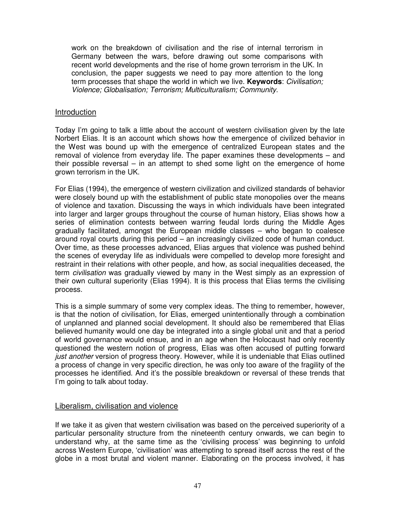work on the breakdown of civilisation and the rise of internal terrorism in Germany between the wars, before drawing out some comparisons with recent world developments and the rise of home grown terrorism in the UK. In conclusion, the paper suggests we need to pay more attention to the long term processes that shape the world in which we live. **Keywords**: Civilisation; Violence; Globalisation; Terrorism; Multiculturalism; Community.

#### Introduction

Today I'm going to talk a little about the account of western civilisation given by the late Norbert Elias. It is an account which shows how the emergence of civilized behavior in the West was bound up with the emergence of centralized European states and the removal of violence from everyday life. The paper examines these developments – and their possible reversal – in an attempt to shed some light on the emergence of home grown terrorism in the UK.

For Elias (1994), the emergence of western civilization and civilized standards of behavior were closely bound up with the establishment of public state monopolies over the means of violence and taxation. Discussing the ways in which individuals have been integrated into larger and larger groups throughout the course of human history, Elias shows how a series of elimination contests between warring feudal lords during the Middle Ages gradually facilitated, amongst the European middle classes – who began to coalesce around royal courts during this period – an increasingly civilized code of human conduct. Over time, as these processes advanced, Elias argues that violence was pushed behind the scenes of everyday life as individuals were compelled to develop more foresight and restraint in their relations with other people, and how, as social inequalities deceased, the term civilisation was gradually viewed by many in the West simply as an expression of their own cultural superiority (Elias 1994). It is this process that Elias terms the civilising process.

This is a simple summary of some very complex ideas. The thing to remember, however, is that the notion of civilisation, for Elias, emerged unintentionally through a combination of unplanned and planned social development. It should also be remembered that Elias believed humanity would one day be integrated into a single global unit and that a period of world governance would ensue, and in an age when the Holocaust had only recently questioned the western notion of progress, Elias was often accused of putting forward just another version of progress theory. However, while it is undeniable that Elias outlined a process of change in very specific direction, he was only too aware of the fragility of the processes he identified. And it's the possible breakdown or reversal of these trends that I'm going to talk about today.

#### Liberalism, civilisation and violence

If we take it as given that western civilisation was based on the perceived superiority of a particular personality structure from the nineteenth century onwards, we can begin to understand why, at the same time as the 'civilising process' was beginning to unfold across Western Europe, 'civilisation' was attempting to spread itself across the rest of the globe in a most brutal and violent manner. Elaborating on the process involved, it has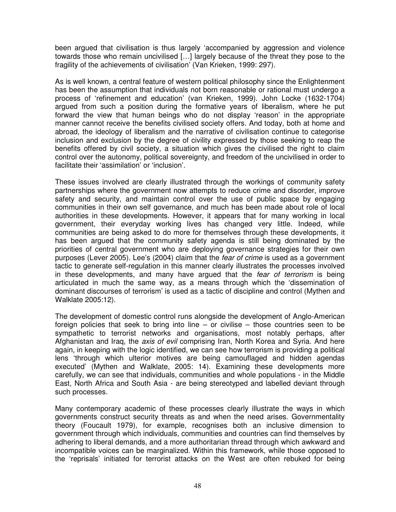been argued that civilisation is thus largely 'accompanied by aggression and violence towards those who remain uncivilised […] largely because of the threat they pose to the fragility of the achievements of civilisation' (Van Krieken, 1999: 297).

As is well known, a central feature of western political philosophy since the Enlightenment has been the assumption that individuals not born reasonable or rational must undergo a process of 'refinement and education' (van Krieken, 1999). John Locke (1632-1704) argued from such a position during the formative years of liberalism, where he put forward the view that human beings who do not display 'reason' in the appropriate manner cannot receive the benefits civilised society offers. And today, both at home and abroad, the ideology of liberalism and the narrative of civilisation continue to categorise inclusion and exclusion by the degree of civility expressed by those seeking to reap the benefits offered by civil society, a situation which gives the civilised the right to claim control over the autonomy, political sovereignty, and freedom of the uncivilised in order to facilitate their 'assimilation' or 'inclusion'.

These issues involved are clearly illustrated through the workings of community safety partnerships where the government now attempts to reduce crime and disorder, improve safety and security, and maintain control over the use of public space by engaging communities in their own self governance, and much has been made about role of local authorities in these developments. However, it appears that for many working in local government, their everyday working lives has changed very little. Indeed, while communities are being asked to do more for themselves through these developments, it has been argued that the community safety agenda is still being dominated by the priorities of central government who are deploying governance strategies for their own purposes (Lever 2005). Lee's (2004) claim that the fear of crime is used as a government tactic to generate self-regulation in this manner clearly illustrates the processes involved in these developments, and many have argued that the fear of terrorism is being articulated in much the same way, as a means through which the 'dissemination of dominant discourses of terrorism' is used as a tactic of discipline and control (Mythen and Walklate 2005:12).

The development of domestic control runs alongside the development of Anglo-American foreign policies that seek to bring into line – or civilise – those countries seen to be sympathetic to terrorist networks and organisations, most notably perhaps, after Afghanistan and Iraq, the axis of evil comprising Iran, North Korea and Syria. And here again, in keeping with the logic identified, we can see how terrorism is providing a political lens 'through which ulterior motives are being camouflaged and hidden agendas executed' (Mythen and Walklate, 2005: 14). Examining these developments more carefully, we can see that individuals, communities and whole populations - in the Middle East, North Africa and South Asia - are being stereotyped and labelled deviant through such processes.

Many contemporary academic of these processes clearly illustrate the ways in which governments construct security threats as and when the need arises. Governmentality theory (Foucault 1979), for example, recognises both an inclusive dimension to government through which individuals, communities and countries can find themselves by adhering to liberal demands, and a more authoritarian thread through which awkward and incompatible voices can be marginalized. Within this framework, while those opposed to the 'reprisals' initiated for terrorist attacks on the West are often rebuked for being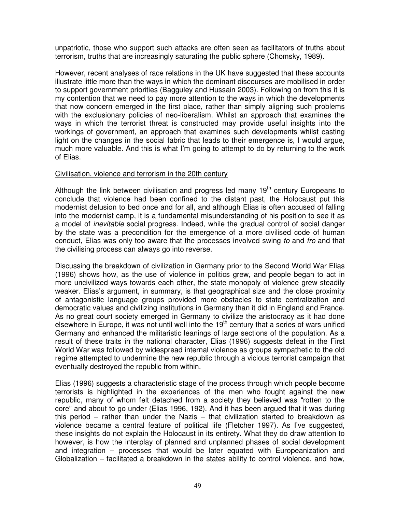unpatriotic, those who support such attacks are often seen as facilitators of truths about terrorism, truths that are increasingly saturating the public sphere (Chomsky, 1989).

However, recent analyses of race relations in the UK have suggested that these accounts illustrate little more than the ways in which the dominant discourses are mobilised in order to support government priorities (Bagguley and Hussain 2003). Following on from this it is my contention that we need to pay more attention to the ways in which the developments that now concern emerged in the first place, rather than simply aligning such problems with the exclusionary policies of neo-liberalism. Whilst an approach that examines the ways in which the terrorist threat is constructed may provide useful insights into the workings of government, an approach that examines such developments whilst casting light on the changes in the social fabric that leads to their emergence is, I would argue, much more valuable. And this is what I'm going to attempt to do by returning to the work of Elias.

#### Civilisation, violence and terrorism in the 20th century

Although the link between civilisation and progress led many  $19<sup>th</sup>$  century Europeans to conclude that violence had been confined to the distant past, the Holocaust put this modernist delusion to bed once and for all, and although Elias is often accused of falling into the modernist camp, it is a fundamental misunderstanding of his position to see it as a model of inevitable social progress. Indeed, while the gradual control of social danger by the state was a precondition for the emergence of a more civilised code of human conduct, Elias was only too aware that the processes involved swing to and fro and that the civilising process can always go into reverse.

Discussing the breakdown of civilization in Germany prior to the Second World War Elias (1996) shows how, as the use of violence in politics grew, and people began to act in more uncivilized ways towards each other, the state monopoly of violence grew steadily weaker. Elias's argument, in summary, is that geographical size and the close proximity of antagonistic language groups provided more obstacles to state centralization and democratic values and civilizing institutions in Germany than it did in England and France. As no great court society emerged in Germany to civilize the aristocracy as it had done elsewhere in Europe, it was not until well into the  $19<sup>th</sup>$  century that a series of wars unified Germany and enhanced the militaristic leanings of large sections of the population. As a result of these traits in the national character, Elias (1996) suggests defeat in the First World War was followed by widespread internal violence as groups sympathetic to the old regime attempted to undermine the new republic through a vicious terrorist campaign that eventually destroyed the republic from within.

Elias (1996) suggests a characteristic stage of the process through which people become terrorists is highlighted in the experiences of the men who fought against the new republic, many of whom felt detached from a society they believed was "rotten to the core" and about to go under (Elias 1996, 192). And it has been argued that it was during this period – rather than under the Nazis – that civilization started to breakdown as violence became a central feature of political life (Fletcher 1997). As I've suggested, these insights do not explain the Holocaust in its entirety. What they do draw attention to however, is how the interplay of planned and unplanned phases of social development and integration – processes that would be later equated with Europeanization and Globalization – facilitated a breakdown in the states ability to control violence, and how,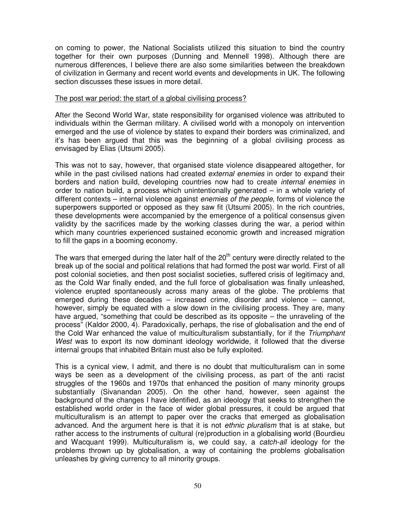on coming to power, the National Socialists utilized this situation to bind the country together for their own purposes (Dunning and Mennell 1998). Although there are numerous differences, I believe there are also some similarities between the breakdown of civilization in Germany and recent world events and developments in UK. The following section discusses these issues in more detail.

#### The post war period: the start of a global civilising process?

After the Second World War, state responsibility for organised violence was attributed to individuals within the German military. A civilised world with a monopoly on intervention emerged and the use of violence by states to expand their borders was criminalized, and it's has been argued that this was the beginning of a global civilising process as envisaged by Elias (Utsumi 2005).

This was not to say, however, that organised state violence disappeared altogether, for while in the past civilised nations had created external enemies in order to expand their borders and nation build, developing countries now had to create internal enemies in order to nation build, a process which unintentionally generated – in a whole variety of different contexts – internal violence against enemies of the people, forms of violence the superpowers supported or opposed as they saw fit (Utsumi 2005). In the rich countries, these developments were accompanied by the emergence of a political consensus given validity by the sacrifices made by the working classes during the war, a period within which many countries experienced sustained economic growth and increased migration to fill the gaps in a booming economy.

The wars that emerged during the later half of the 20<sup>th</sup> century were directly related to the break up of the social and political relations that had formed the post war world. First of all post colonial societies, and then post socialist societies, suffered crisis of legitimacy and, as the Cold War finally ended, and the full force of globalisation was finally unleashed, violence erupted spontaneously across many areas of the globe. The problems that emerged during these decades – increased crime, disorder and violence – cannot, however, simply be equated with a slow down in the civilising process. They are, many have argued, "something that could be described as its opposite – the unraveling of the process" (Kaldor 2000, 4). Paradoxically, perhaps, the rise of globalisation and the end of the Cold War enhanced the value of multiculturalism substantially, for if the Triumphant West was to export its now dominant ideology worldwide, it followed that the diverse internal groups that inhabited Britain must also be fully exploited.

This is a cynical view, I admit, and there is no doubt that multiculturalism can in some ways be seen as a development of the civilising process, as part of the anti racist struggles of the 1960s and 1970s that enhanced the position of many minority groups substantially (Sivanandan 2005). On the other hand, however, seen against the background of the changes I have identified, as an ideology that seeks to strengthen the established world order in the face of wider global pressures, it could be argued that multiculturalism is an attempt to paper over the cracks that emerged as globalisation advanced. And the argument here is that it is not ethnic pluralism that is at stake, but rather access to the instruments of cultural (re)production in a globalising world (Bourdieu and Wacquant 1999). Multiculturalism is, we could say, a catch-all ideology for the problems thrown up by globalisation, a way of containing the problems globalisation unleashes by giving currency to all minority groups.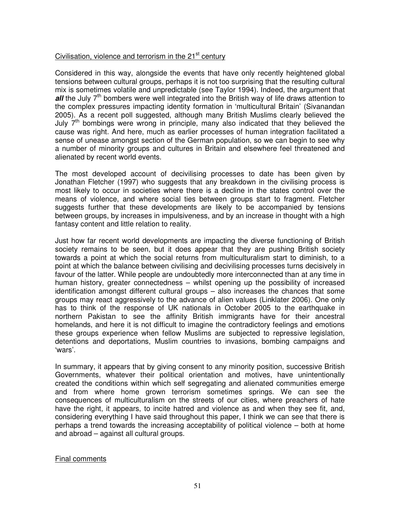#### Civilisation, violence and terrorism in the  $21<sup>st</sup>$  century

Considered in this way, alongside the events that have only recently heightened global tensions between cultural groups, perhaps it is not too surprising that the resulting cultural mix is sometimes volatile and unpredictable (see Taylor 1994). Indeed, the argument that **all** the July 7<sup>th</sup> bombers were well integrated into the British way of life draws attention to the complex pressures impacting identity formation in 'multicultural Britain' (Sivanandan 2005). As a recent poll suggested, although many British Muslims clearly believed the July  $7<sup>th</sup>$  bombings were wrong in principle, many also indicated that they believed the cause was right. And here, much as earlier processes of human integration facilitated a sense of unease amongst section of the German population, so we can begin to see why a number of minority groups and cultures in Britain and elsewhere feel threatened and alienated by recent world events.

The most developed account of decivilising processes to date has been given by Jonathan Fletcher (1997) who suggests that any breakdown in the civilising process is most likely to occur in societies where there is a decline in the states control over the means of violence, and where social ties between groups start to fragment. Fletcher suggests further that these developments are likely to be accompanied by tensions between groups, by increases in impulsiveness, and by an increase in thought with a high fantasy content and little relation to reality.

Just how far recent world developments are impacting the diverse functioning of British society remains to be seen, but it does appear that they are pushing British society towards a point at which the social returns from multiculturalism start to diminish, to a point at which the balance between civilising and decivilising processes turns decisively in favour of the latter. While people are undoubtedly more interconnected than at any time in human history, greater connectedness – whilst opening up the possibility of increased identification amongst different cultural groups – also increases the chances that some groups may react aggressively to the advance of alien values (Linklater 2006). One only has to think of the response of UK nationals in October 2005 to the earthquake in northern Pakistan to see the affinity British immigrants have for their ancestral homelands, and here it is not difficult to imagine the contradictory feelings and emotions these groups experience when fellow Muslims are subjected to repressive legislation, detentions and deportations, Muslim countries to invasions, bombing campaigns and 'wars'.

In summary, it appears that by giving consent to any minority position, successive British Governments, whatever their political orientation and motives, have unintentionally created the conditions within which self segregating and alienated communities emerge and from where home grown terrorism sometimes springs. We can see the consequences of multiculturalism on the streets of our cities, where preachers of hate have the right, it appears, to incite hatred and violence as and when they see fit, and, considering everything I have said throughout this paper, I think we can see that there is perhaps a trend towards the increasing acceptability of political violence – both at home and abroad – against all cultural groups.

#### Final comments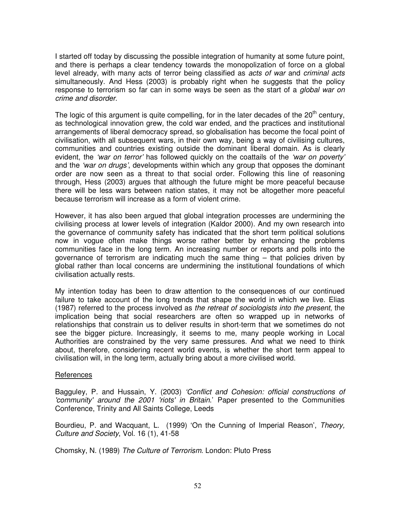I started off today by discussing the possible integration of humanity at some future point, and there is perhaps a clear tendency towards the monopolization of force on a global level already, with many acts of terror being classified as *acts of war* and *criminal acts* simultaneously. And Hess (2003) is probably right when he suggests that the policy response to terrorism so far can in some ways be seen as the start of a *global war on* crime and disorder.

The logic of this argument is quite compelling, for in the later decades of the  $20<sup>th</sup>$  century, as technological innovation grew, the cold war ended, and the practices and institutional arrangements of liberal democracy spread, so globalisation has become the focal point of civilisation, with all subsequent wars, in their own way, being a way of civilising cultures, communities and countries existing outside the dominant liberal domain. As is clearly evident, the 'war on terror' has followed quickly on the coattails of the 'war on poverty' and the 'war on drugs', developments within which any group that opposes the dominant order are now seen as a threat to that social order. Following this line of reasoning through, Hess (2003) argues that although the future might be more peaceful because there will be less wars between nation states, it may not be altogether more peaceful because terrorism will increase as a form of violent crime.

However, it has also been argued that global integration processes are undermining the civilising process at lower levels of integration (Kaldor 2000). And my own research into the governance of community safety has indicated that the short term political solutions now in vogue often make things worse rather better by enhancing the problems communities face in the long term. An increasing number or reports and polls into the governance of terrorism are indicating much the same thing – that policies driven by global rather than local concerns are undermining the institutional foundations of which civilisation actually rests.

My intention today has been to draw attention to the consequences of our continued failure to take account of the long trends that shape the world in which we live. Elias (1987) referred to the process involved as the retreat of sociologists into the present, the implication being that social researchers are often so wrapped up in networks of relationships that constrain us to deliver results in short-term that we sometimes do not see the bigger picture. Increasingly, it seems to me, many people working in Local Authorities are constrained by the very same pressures. And what we need to think about, therefore, considering recent world events, is whether the short term appeal to civilisation will, in the long term, actually bring about a more civilised world.

#### References

Bagguley, P. and Hussain, Y. (2003) 'Conflict and Cohesion: official constructions of 'community' around the 2001 'riots' in Britain.' Paper presented to the Communities Conference, Trinity and All Saints College, Leeds

Bourdieu, P. and Wacquant, L. (1999) 'On the Cunning of Imperial Reason', Theory, Culture and Society, Vol. 16 (1), 41-58

Chomsky, N. (1989) The Culture of Terrorism. London: Pluto Press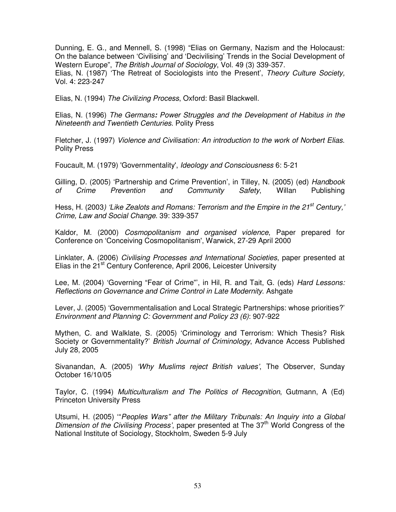Dunning, E. G., and Mennell, S. (1998) "Elias on Germany, Nazism and the Holocaust: On the balance between 'Civilising' and 'Decivilising' Trends in the Social Development of Western Europe", The British Journal of Sociology, Vol. 49 (3) 339-357. Elias, N. (1987) 'The Retreat of Sociologists into the Present', Theory Culture Society, Vol. 4: 223-247

Elias, N. (1994) The Civilizing Process, Oxford: Basil Blackwell.

Elias, N. (1996) The Germans**:** Power Struggles and the Development of Habitus in the Nineteenth and Twentieth Centuries. Polity Press

Fletcher, J. (1997) Violence and Civilisation: An introduction to the work of Norbert Elias. Polity Press

Foucault, M. (1979) 'Governmentality', Ideology and Consciousness 6: 5-21

Gilling, D. (2005) 'Partnership and Crime Prevention', in Tilley, N. (2005) (ed) Handbook of Crime Prevention and Community Safety, Willan Publishing

Hess, H. (2003) 'Like Zealots and Romans: Terrorism and the Empire in the 21<sup>st</sup> Century,' Crime, Law and Social Change. 39: 339-357

Kaldor, M. (2000) Cosmopolitanism and organised violence, Paper prepared for Conference on 'Conceiving Cosmopolitanism', Warwick, 27-29 April 2000

Linklater, A. (2006) Civilising Processes and International Societies, paper presented at Elias in the 21<sup>st</sup> Century Conference, April 2006, Leicester University

Lee, M. (2004) 'Governing "Fear of Crime"', in Hil, R. and Tait, G. (eds) Hard Lessons: Reflections on Governance and Crime Control in Late Modernity. Ashgate

Lever, J. (2005) 'Governmentalisation and Local Strategic Partnerships: whose priorities?' Environment and Planning C: Government and Policy 23 (6): 907-922

Mythen, C. and Walklate, S. (2005) 'Criminology and Terrorism: Which Thesis? Risk Society or Governmentality?' British Journal of Criminology, Advance Access Published July 28, 2005

Sivanandan, A. (2005) 'Why Muslims reject British values', The Observer, Sunday October 16/10/05

Taylor, C. (1994) Multiculturalism and The Politics of Recognition, Gutmann, A (Ed) Princeton University Press

Utsumi, H. (2005) '"Peoples Wars" after the Military Tribunals: An Inquiry into a Global Dimension of the Civilising Process', paper presented at The  $37<sup>th</sup>$  World Congress of the National Institute of Sociology, Stockholm, Sweden 5-9 July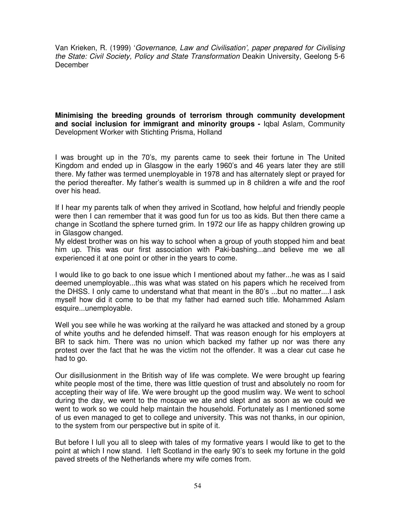Van Krieken, R. (1999) 'Governance, Law and Civilisation', paper prepared for Civilising the State: Civil Society, Policy and State Transformation Deakin University, Geelong 5-6 December

**Minimising the breeding grounds of terrorism through community development and social inclusion for immigrant and minority groups -** Iqbal Aslam, Community Development Worker with Stichting Prisma, Holland

I was brought up in the 70's, my parents came to seek their fortune in The United Kingdom and ended up in Glasgow in the early 1960's and 46 years later they are still there. My father was termed unemployable in 1978 and has alternately slept or prayed for the period thereafter. My father's wealth is summed up in 8 children a wife and the roof over his head.

If I hear my parents talk of when they arrived in Scotland, how helpful and friendly people were then I can remember that it was good fun for us too as kids. But then there came a change in Scotland the sphere turned grim. In 1972 our life as happy children growing up in Glasgow changed.

My eldest brother was on his way to school when a group of youth stopped him and beat him up. This was our first association with Paki-bashing...and believe me we all experienced it at one point or other in the years to come.

I would like to go back to one issue which I mentioned about my father...he was as I said deemed unemployable...this was what was stated on his papers which he received from the DHSS. I only came to understand what that meant in the 80's ...but no matter....I ask myself how did it come to be that my father had earned such title. Mohammed Aslam esquire...unemployable.

Well you see while he was working at the railyard he was attacked and stoned by a group of white youths and he defended himself. That was reason enough for his employers at BR to sack him. There was no union which backed my father up nor was there any protest over the fact that he was the victim not the offender. It was a clear cut case he had to go.

Our disillusionment in the British way of life was complete. We were brought up fearing white people most of the time, there was little question of trust and absolutely no room for accepting their way of life. We were brought up the good muslim way. We went to school during the day, we went to the mosque we ate and slept and as soon as we could we went to work so we could help maintain the household. Fortunately as I mentioned some of us even managed to get to college and university. This was not thanks, in our opinion, to the system from our perspective but in spite of it.

But before I lull you all to sleep with tales of my formative years I would like to get to the point at which I now stand. I left Scotland in the early 90's to seek my fortune in the gold paved streets of the Netherlands where my wife comes from.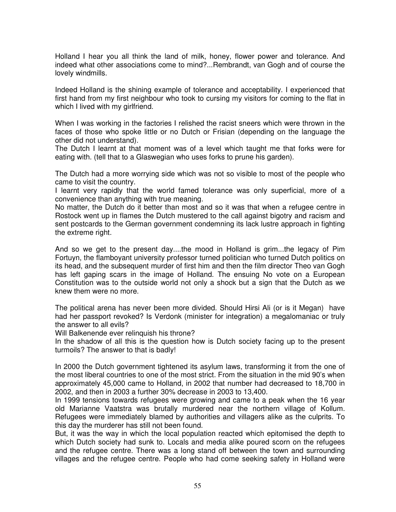Holland I hear you all think the land of milk, honey, flower power and tolerance. And indeed what other associations come to mind?...Rembrandt, van Gogh and of course the lovely windmills.

Indeed Holland is the shining example of tolerance and acceptability. I experienced that first hand from my first neighbour who took to cursing my visitors for coming to the flat in which I lived with my girlfriend.

When I was working in the factories I relished the racist sneers which were thrown in the faces of those who spoke little or no Dutch or Frisian (depending on the language the other did not understand).

The Dutch I learnt at that moment was of a level which taught me that forks were for eating with. (tell that to a Glaswegian who uses forks to prune his garden).

The Dutch had a more worrying side which was not so visible to most of the people who came to visit the country.

I learnt very rapidly that the world famed tolerance was only superficial, more of a convenience than anything with true meaning.

No matter, the Dutch do it better than most and so it was that when a refugee centre in Rostock went up in flames the Dutch mustered to the call against bigotry and racism and sent postcards to the German government condemning its lack lustre approach in fighting the extreme right.

And so we get to the present day....the mood in Holland is grim...the legacy of Pim Fortuyn, the flamboyant university professor turned politician who turned Dutch politics on its head, and the subsequent murder of first him and then the film director Theo van Gogh has left gaping scars in the image of Holland. The ensuing No vote on a European Constitution was to the outside world not only a shock but a sign that the Dutch as we knew them were no more.

The political arena has never been more divided. Should Hirsi Ali (or is it Megan) have had her passport revoked? Is Verdonk (minister for integration) a megalomaniac or truly the answer to all evils?

Will Balkenende ever relinquish his throne?

In the shadow of all this is the question how is Dutch society facing up to the present turmoils? The answer to that is badly!

In 2000 the Dutch government tightened its asylum laws, transforming it from the one of the most liberal countries to one of the most strict. From the situation in the mid 90's when approximately 45,000 came to Holland, in 2002 that number had decreased to 18,700 in 2002, and then in 2003 a further 30% decrease in 2003 to 13,400.

In 1999 tensions towards refugees were growing and came to a peak when the 16 year old Marianne Vaatstra was brutally murdered near the northern village of Kollum. Refugees were immediately blamed by authorities and villagers alike as the culprits. To this day the murderer has still not been found.

But, it was the way in which the local population reacted which epitomised the depth to which Dutch society had sunk to. Locals and media alike poured scorn on the refugees and the refugee centre. There was a long stand off between the town and surrounding villages and the refugee centre. People who had come seeking safety in Holland were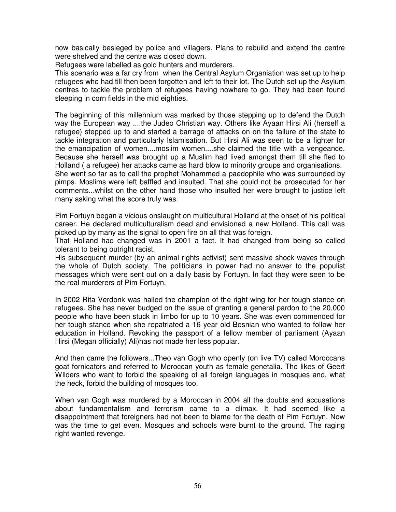now basically besieged by police and villagers. Plans to rebuild and extend the centre were shelved and the centre was closed down.

Refugees were labelled as gold hunters and murderers.

This scenario was a far cry from when the Central Asylum Organiation was set up to help refugees who had till then been forgotten and left to their lot. The Dutch set up the Asylum centres to tackle the problem of refugees having nowhere to go. They had been found sleeping in corn fields in the mid eighties.

The beginning of this millennium was marked by those stepping up to defend the Dutch way the European way ....the Judeo Christian way. Others like Ayaan Hirsi Ali (herself a refugee) stepped up to and started a barrage of attacks on on the failure of the state to tackle integration and particularly Islamisation. But Hirsi Ali was seen to be a fighter for the emancipation of women....moslim women....she claimed the title with a vengeance. Because she herself was brought up a Muslim had lived amongst them till she fled to Holland ( a refugee) her attacks came as hard blow to minority groups and organisations. She went so far as to call the prophet Mohammed a paedophile who was surrounded by

pimps. Moslims were left baffled and insulted. That she could not be prosecuted for her comments...whilst on the other hand those who insulted her were brought to justice left many asking what the score truly was.

Pim Fortuyn began a vicious onslaught on multicultural Holland at the onset of his political career. He declared multiculturalism dead and envisioned a new Holland. This call was picked up by many as the signal to open fire on all that was foreign.

That Holland had changed was in 2001 a fact. It had changed from being so called tolerant to being outright racist.

His subsequent murder (by an animal rights activist) sent massive shock waves through the whole of Dutch society. The politicians in power had no answer to the populist messages which were sent out on a daily basis by Fortuyn. In fact they were seen to be the real murderers of Pim Fortuyn.

In 2002 Rita Verdonk was hailed the champion of the right wing for her tough stance on refugees. She has never budged on the issue of granting a general pardon to the 20,000 people who have been stuck in limbo for up to 10 years. She was even commended for her tough stance when she repatriated a 16 year old Bosnian who wanted to follow her education in Holland. Revoking the passport of a fellow member of parliament (Ayaan Hirsi (Megan officially) Ali)has not made her less popular.

And then came the followers...Theo van Gogh who openly (on live TV) called Moroccans goat fornicators and referred to Moroccan youth as female genetalia. The likes of Geert WIlders who want to forbid the speaking of all foreign languages in mosques and, what the heck, forbid the building of mosques too.

When van Gogh was murdered by a Moroccan in 2004 all the doubts and accusations about fundamentalism and terrorism came to a climax. It had seemed like a disappointment that foreigners had not been to blame for the death of Pim Fortuyn. Now was the time to get even. Mosques and schools were burnt to the ground. The raging right wanted revenge.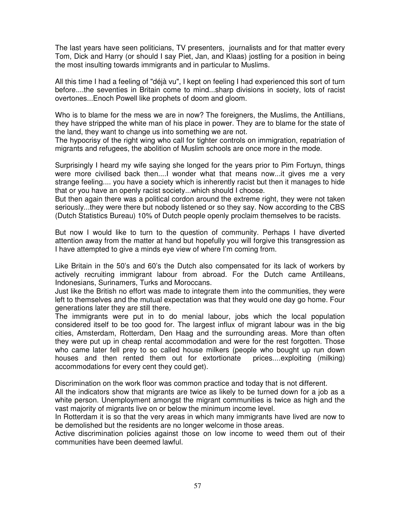The last years have seen politicians, TV presenters, journalists and for that matter every Tom, Dick and Harry (or should I say Piet, Jan, and Klaas) jostling for a position in being the most insulting towards immigrants and in particular to Muslims.

All this time I had a feeling of "déjà vu", I kept on feeling I had experienced this sort of turn before....the seventies in Britain come to mind...sharp divisions in society, lots of racist overtones...Enoch Powell like prophets of doom and gloom.

Who is to blame for the mess we are in now? The foreigners, the Muslims, the Antillians, they have stripped the white man of his place in power. They are to blame for the state of the land, they want to change us into something we are not.

The hypocrisy of the right wing who call for tighter controls on immigration, repatriation of migrants and refugees, the abolition of Muslim schools are once more in the mode.

Surprisingly I heard my wife saying she longed for the years prior to Pim Fortuyn, things were more civilised back then....I wonder what that means now...it gives me a very strange feeling.... you have a society which is inherently racist but then it manages to hide that or you have an openly racist society...which should I choose.

But then again there was a political cordon around the extreme right, they were not taken seriously...they were there but nobody listened or so they say. Now according to the CBS (Dutch Statistics Bureau) 10% of Dutch people openly proclaim themselves to be racists.

But now I would like to turn to the question of community. Perhaps I have diverted attention away from the matter at hand but hopefully you will forgive this transgression as I have attempted to give a minds eye view of where I'm coming from.

Like Britain in the 50's and 60's the Dutch also compensated for its lack of workers by actively recruiting immigrant labour from abroad. For the Dutch came Antilleans, Indonesians, Surinamers, Turks and Moroccans.

Just like the British no effort was made to integrate them into the communities, they were left to themselves and the mutual expectation was that they would one day go home. Four generations later they are still there.

The immigrants were put in to do menial labour, jobs which the local population considered itself to be too good for. The largest influx of migrant labour was in the big cities, Amsterdam, Rotterdam, Den Haag and the surrounding areas. More than often they were put up in cheap rental accommodation and were for the rest forgotten. Those who came later fell prey to so called house milkers (people who bought up run down houses and then rented them out for extortionate prices....exploiting (milking) accommodations for every cent they could get).

Discrimination on the work floor was common practice and today that is not different.

All the indicators show that migrants are twice as likely to be turned down for a job as a white person. Unemployment amongst the migrant communities is twice as high and the vast majority of migrants live on or below the minimum income level.

In Rotterdam it is so that the very areas in which many immigrants have lived are now to be demolished but the residents are no longer welcome in those areas.

Active discrimination policies against those on low income to weed them out of their communities have been deemed lawful.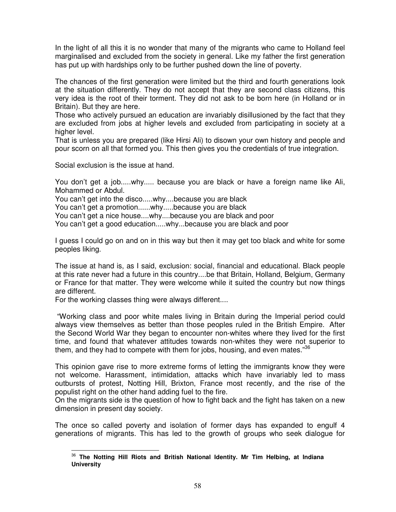In the light of all this it is no wonder that many of the migrants who came to Holland feel marginalised and excluded from the society in general. Like my father the first generation has put up with hardships only to be further pushed down the line of poverty.

The chances of the first generation were limited but the third and fourth generations look at the situation differently. They do not accept that they are second class citizens, this very idea is the root of their torment. They did not ask to be born here (in Holland or in Britain). But they are here.

Those who actively pursued an education are invariably disillusioned by the fact that they are excluded from jobs at higher levels and excluded from participating in society at a higher level.

That is unless you are prepared (like Hirsi Ali) to disown your own history and people and pour scorn on all that formed you. This then gives you the credentials of true integration.

Social exclusion is the issue at hand.

You don't get a job.....why..... because you are black or have a foreign name like Ali, Mohammed or Abdul.

You can't get into the disco.....why....because you are black

You can't get a promotion......why.....because you are black

You can't get a nice house....why....because you are black and poor

You can't get a good education.....why...because you are black and poor

I guess I could go on and on in this way but then it may get too black and white for some peoples liking.

The issue at hand is, as I said, exclusion: social, financial and educational. Black people at this rate never had a future in this country....be that Britain, Holland, Belgium, Germany or France for that matter. They were welcome while it suited the country but now things are different.

For the working classes thing were always different....

 $\overline{a}$ 

 "Working class and poor white males living in Britain during the Imperial period could always view themselves as better than those peoples ruled in the British Empire. After the Second World War they began to encounter non-whites where they lived for the first time, and found that whatever attitudes towards non-whites they were not superior to them, and they had to compete with them for jobs, housing, and even mates."<sup>36</sup>

This opinion gave rise to more extreme forms of letting the immigrants know they were not welcome. Harassment, intimidation, attacks which have invariably led to mass outbursts of protest, Notting Hill, Brixton, France most recently, and the rise of the populist right on the other hand adding fuel to the fire.

On the migrants side is the question of how to fight back and the fight has taken on a new dimension in present day society.

The once so called poverty and isolation of former days has expanded to engulf 4 generations of migrants. This has led to the growth of groups who seek dialogue for

<sup>36</sup> **The Notting Hill Riots and British National Identity. Mr Tim Helbing, at Indiana University**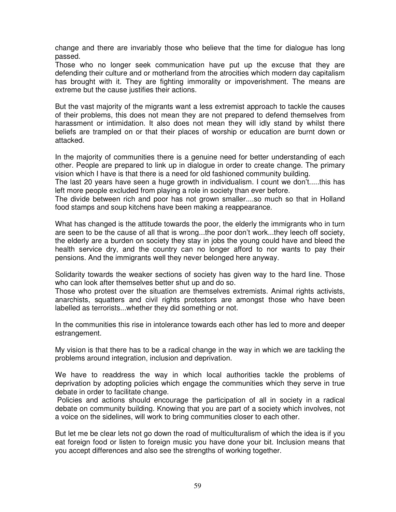change and there are invariably those who believe that the time for dialogue has long passed.

Those who no longer seek communication have put up the excuse that they are defending their culture and or motherland from the atrocities which modern day capitalism has brought with it. They are fighting immorality or impoverishment. The means are extreme but the cause justifies their actions.

But the vast majority of the migrants want a less extremist approach to tackle the causes of their problems, this does not mean they are not prepared to defend themselves from harassment or intimidation. It also does not mean they will idly stand by whilst there beliefs are trampled on or that their places of worship or education are burnt down or attacked.

In the majority of communities there is a genuine need for better understanding of each other. People are prepared to link up in dialogue in order to create change. The primary vision which I have is that there is a need for old fashioned community building.

The last 20 years have seen a huge growth in individualism. I count we don't.....this has left more people excluded from playing a role in society than ever before.

The divide between rich and poor has not grown smaller....so much so that in Holland food stamps and soup kitchens have been making a reappearance.

What has changed is the attitude towards the poor, the elderly the immigrants who in turn are seen to be the cause of all that is wrong...the poor don't work...they leech off society, the elderly are a burden on society they stay in jobs the young could have and bleed the health service dry, and the country can no longer afford to nor wants to pay their pensions. And the immigrants well they never belonged here anyway.

Solidarity towards the weaker sections of society has given way to the hard line. Those who can look after themselves better shut up and do so.

Those who protest over the situation are themselves extremists. Animal rights activists, anarchists, squatters and civil rights protestors are amongst those who have been labelled as terrorists...whether they did something or not.

In the communities this rise in intolerance towards each other has led to more and deeper estrangement.

My vision is that there has to be a radical change in the way in which we are tackling the problems around integration, inclusion and deprivation.

We have to readdress the way in which local authorities tackle the problems of deprivation by adopting policies which engage the communities which they serve in true debate in order to facilitate change.

 Policies and actions should encourage the participation of all in society in a radical debate on community building. Knowing that you are part of a society which involves, not a voice on the sidelines, will work to bring communities closer to each other.

But let me be clear lets not go down the road of multiculturalism of which the idea is if you eat foreign food or listen to foreign music you have done your bit. Inclusion means that you accept differences and also see the strengths of working together.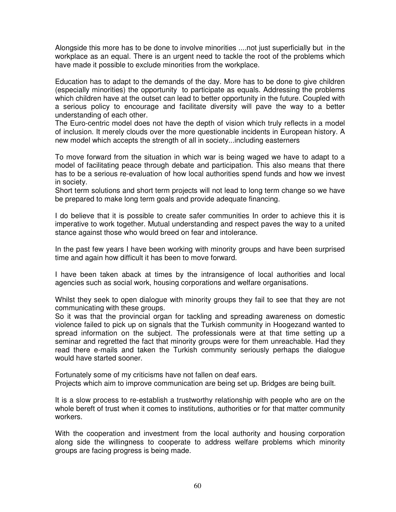Alongside this more has to be done to involve minorities ....not just superficially but in the workplace as an equal. There is an urgent need to tackle the root of the problems which have made it possible to exclude minorities from the workplace.

Education has to adapt to the demands of the day. More has to be done to give children (especially minorities) the opportunity to participate as equals. Addressing the problems which children have at the outset can lead to better opportunity in the future. Coupled with a serious policy to encourage and facilitate diversity will pave the way to a better understanding of each other.

The Euro-centric model does not have the depth of vision which truly reflects in a model of inclusion. It merely clouds over the more questionable incidents in European history. A new model which accepts the strength of all in society...including easterners

To move forward from the situation in which war is being waged we have to adapt to a model of facilitating peace through debate and participation. This also means that there has to be a serious re-evaluation of how local authorities spend funds and how we invest in society.

Short term solutions and short term projects will not lead to long term change so we have be prepared to make long term goals and provide adequate financing.

I do believe that it is possible to create safer communities In order to achieve this it is imperative to work together. Mutual understanding and respect paves the way to a united stance against those who would breed on fear and intolerance.

In the past few years I have been working with minority groups and have been surprised time and again how difficult it has been to move forward.

I have been taken aback at times by the intransigence of local authorities and local agencies such as social work, housing corporations and welfare organisations.

Whilst they seek to open dialogue with minority groups they fail to see that they are not communicating with these groups.

So it was that the provincial organ for tackling and spreading awareness on domestic violence failed to pick up on signals that the Turkish community in Hoogezand wanted to spread information on the subject. The professionals were at that time setting up a seminar and regretted the fact that minority groups were for them unreachable. Had they read there e-mails and taken the Turkish community seriously perhaps the dialogue would have started sooner.

Fortunately some of my criticisms have not fallen on deaf ears.

Projects which aim to improve communication are being set up. Bridges are being built.

It is a slow process to re-establish a trustworthy relationship with people who are on the whole bereft of trust when it comes to institutions, authorities or for that matter community workers.

With the cooperation and investment from the local authority and housing corporation along side the willingness to cooperate to address welfare problems which minority groups are facing progress is being made.